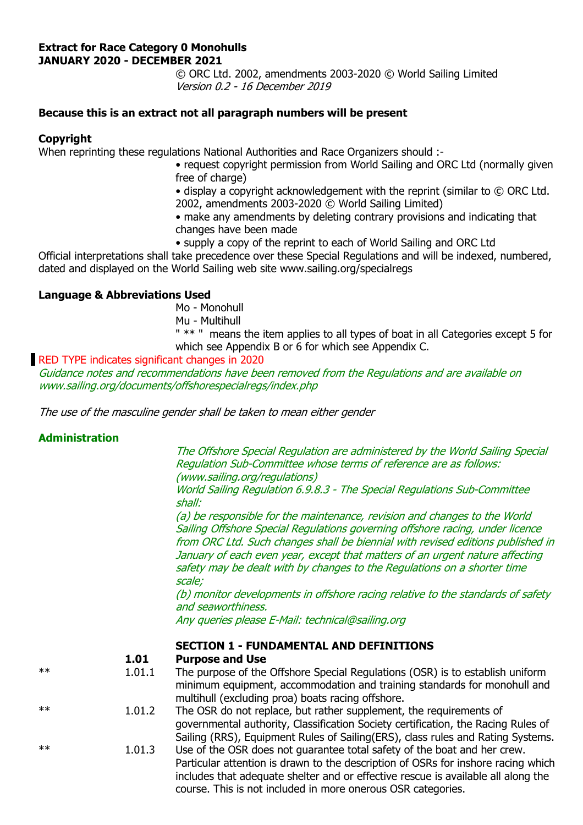#### **Extract for Race Category 0 Monohulls JANUARY 2020 - DECEMBER 2021**

 © ORC Ltd. 2002, amendments 2003-2020 © World Sailing Limited Version 0.2 - 16 December 2019

## **Because this is an extract not all paragraph numbers will be present**

#### **Copyright**

When reprinting these regulations National Authorities and Race Organizers should :-

- request copyright permission from World Sailing and ORC Ltd (normally given free of charge)
- display a copyright acknowledgement with the reprint (similar to © ORC Ltd.
- 2002, amendments 2003-2020 © World Sailing Limited)
- make any amendments by deleting contrary provisions and indicating that changes have been made
- supply a copy of the reprint to each of World Sailing and ORC Ltd

Official interpretations shall take precedence over these Special Regulations and will be indexed, numbered, dated and displayed on the World Sailing web site www.sailing.org/specialregs

## **Language & Abbreviations Used**

- Mo Monohull
- Mu Multihull

 " \*\* " means the item applies to all types of boat in all Categories except 5 for which see Appendix B or 6 for which see Appendix C.

## RED TYPE indicates significant changes in 2020

Guidance notes and recommendations have been removed from the Regulations and are available on www.sailing.org/documents/offshorespecialregs/index.php

The use of the masculine gender shall be taken to mean either gender

## **Administration**

 The Offshore Special Regulation are administered by the World Sailing Special Regulation Sub-Committee whose terms of reference are as follows: (www.sailing.org/regulations)

World Sailing Regulation 6.9.8.3 - The Special Regulations Sub-Committee shall:

 (a) be responsible for the maintenance, revision and changes to the World Sailing Offshore Special Regulations governing offshore racing, under licence from ORC Ltd. Such changes shall be biennial with revised editions published in January of each even year, except that matters of an urgent nature affecting safety may be dealt with by changes to the Regulations on a shorter time scale;

 (b) monitor developments in offshore racing relative to the standards of safety and seaworthiness.

Any queries please E-Mail: technical@sailing.org

#### **SECTION 1 - FUNDAMENTAL AND DEFINITIONS**

#### **1.01 Purpose and Use**

- \*\* 1.01.1 The purpose of the Offshore Special Regulations (OSR) is to establish uniform minimum equipment, accommodation and training standards for monohull and multihull (excluding proa) boats racing offshore.
- \*\* 1.01.2 The OSR do not replace, but rather supplement, the requirements of governmental authority, Classification Society certification, the Racing Rules of Sailing (RRS), Equipment Rules of Sailing(ERS), class rules and Rating Systems.
- \*\* 1.01.3 Use of the OSR does not guarantee total safety of the boat and her crew. Particular attention is drawn to the description of OSRs for inshore racing which includes that adequate shelter and or effective rescue is available all along the course. This is not included in more onerous OSR categories.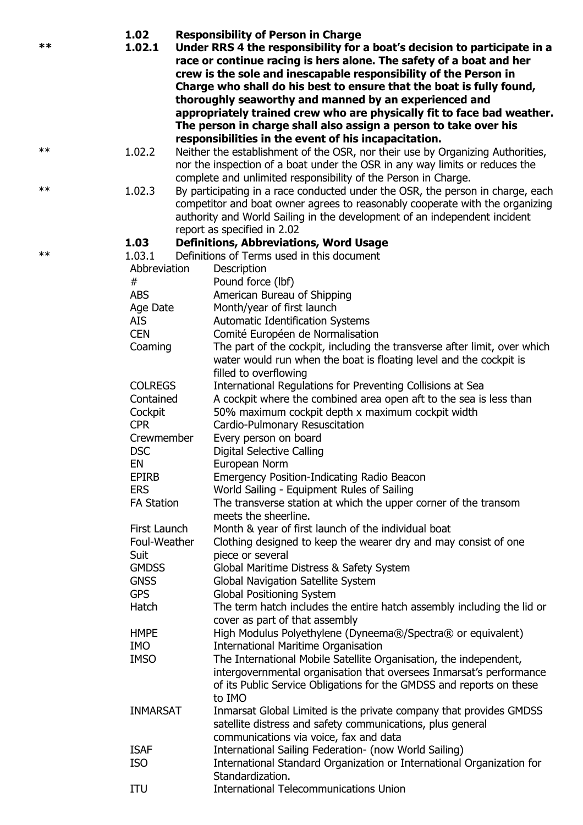| **         | 1.02<br>1.02.1    | <b>Responsibility of Person in Charge</b><br>Under RRS 4 the responsibility for a boat's decision to participate in a<br>race or continue racing is hers alone. The safety of a boat and her<br>crew is the sole and inescapable responsibility of the Person in<br>Charge who shall do his best to ensure that the boat is fully found,<br>thoroughly seaworthy and manned by an experienced and<br>appropriately trained crew who are physically fit to face bad weather.<br>The person in charge shall also assign a person to take over his<br>responsibilities in the event of his incapacitation. |
|------------|-------------------|---------------------------------------------------------------------------------------------------------------------------------------------------------------------------------------------------------------------------------------------------------------------------------------------------------------------------------------------------------------------------------------------------------------------------------------------------------------------------------------------------------------------------------------------------------------------------------------------------------|
| **         | 1.02.2            | Neither the establishment of the OSR, nor their use by Organizing Authorities,<br>nor the inspection of a boat under the OSR in any way limits or reduces the<br>complete and unlimited responsibility of the Person in Charge.                                                                                                                                                                                                                                                                                                                                                                         |
| $\ast\ast$ | 1.02.3            | By participating in a race conducted under the OSR, the person in charge, each<br>competitor and boat owner agrees to reasonably cooperate with the organizing<br>authority and World Sailing in the development of an independent incident<br>report as specified in 2.02                                                                                                                                                                                                                                                                                                                              |
|            | 1.03              | <b>Definitions, Abbreviations, Word Usage</b>                                                                                                                                                                                                                                                                                                                                                                                                                                                                                                                                                           |
| $**$       | 1.03.1            | Definitions of Terms used in this document                                                                                                                                                                                                                                                                                                                                                                                                                                                                                                                                                              |
|            | Abbreviation      | Description                                                                                                                                                                                                                                                                                                                                                                                                                                                                                                                                                                                             |
|            | #                 | Pound force (lbf)                                                                                                                                                                                                                                                                                                                                                                                                                                                                                                                                                                                       |
|            | <b>ABS</b>        | American Bureau of Shipping                                                                                                                                                                                                                                                                                                                                                                                                                                                                                                                                                                             |
|            | Age Date          | Month/year of first launch                                                                                                                                                                                                                                                                                                                                                                                                                                                                                                                                                                              |
|            | <b>AIS</b>        | Automatic Identification Systems                                                                                                                                                                                                                                                                                                                                                                                                                                                                                                                                                                        |
|            | <b>CEN</b>        | Comité Européen de Normalisation                                                                                                                                                                                                                                                                                                                                                                                                                                                                                                                                                                        |
|            | Coaming           | The part of the cockpit, including the transverse after limit, over which                                                                                                                                                                                                                                                                                                                                                                                                                                                                                                                               |
|            |                   | water would run when the boat is floating level and the cockpit is                                                                                                                                                                                                                                                                                                                                                                                                                                                                                                                                      |
|            |                   | filled to overflowing                                                                                                                                                                                                                                                                                                                                                                                                                                                                                                                                                                                   |
|            | <b>COLREGS</b>    | International Regulations for Preventing Collisions at Sea                                                                                                                                                                                                                                                                                                                                                                                                                                                                                                                                              |
|            | Contained         | A cockpit where the combined area open aft to the sea is less than                                                                                                                                                                                                                                                                                                                                                                                                                                                                                                                                      |
|            | Cockpit           | 50% maximum cockpit depth x maximum cockpit width                                                                                                                                                                                                                                                                                                                                                                                                                                                                                                                                                       |
|            | <b>CPR</b>        | Cardio-Pulmonary Resuscitation                                                                                                                                                                                                                                                                                                                                                                                                                                                                                                                                                                          |
|            | Crewmember        | Every person on board                                                                                                                                                                                                                                                                                                                                                                                                                                                                                                                                                                                   |
|            | <b>DSC</b>        | Digital Selective Calling                                                                                                                                                                                                                                                                                                                                                                                                                                                                                                                                                                               |
|            | EN                | European Norm                                                                                                                                                                                                                                                                                                                                                                                                                                                                                                                                                                                           |
|            | <b>EPIRB</b>      | <b>Emergency Position-Indicating Radio Beacon</b>                                                                                                                                                                                                                                                                                                                                                                                                                                                                                                                                                       |
|            | <b>ERS</b>        | World Sailing - Equipment Rules of Sailing                                                                                                                                                                                                                                                                                                                                                                                                                                                                                                                                                              |
|            | <b>FA Station</b> | The transverse station at which the upper corner of the transom<br>meets the sheerline.                                                                                                                                                                                                                                                                                                                                                                                                                                                                                                                 |
|            | First Launch      | Month & year of first launch of the individual boat                                                                                                                                                                                                                                                                                                                                                                                                                                                                                                                                                     |
|            | Foul-Weather      | Clothing designed to keep the wearer dry and may consist of one                                                                                                                                                                                                                                                                                                                                                                                                                                                                                                                                         |
|            | Suit              | piece or several                                                                                                                                                                                                                                                                                                                                                                                                                                                                                                                                                                                        |
|            | <b>GMDSS</b>      | Global Maritime Distress & Safety System                                                                                                                                                                                                                                                                                                                                                                                                                                                                                                                                                                |
|            | <b>GNSS</b>       | Global Navigation Satellite System                                                                                                                                                                                                                                                                                                                                                                                                                                                                                                                                                                      |
|            | <b>GPS</b>        | <b>Global Positioning System</b>                                                                                                                                                                                                                                                                                                                                                                                                                                                                                                                                                                        |
|            | Hatch             | The term hatch includes the entire hatch assembly including the lid or                                                                                                                                                                                                                                                                                                                                                                                                                                                                                                                                  |
|            |                   | cover as part of that assembly                                                                                                                                                                                                                                                                                                                                                                                                                                                                                                                                                                          |
|            | <b>HMPE</b>       |                                                                                                                                                                                                                                                                                                                                                                                                                                                                                                                                                                                                         |
|            | <b>IMO</b>        | High Modulus Polyethylene (Dyneema®/Spectra® or equivalent)                                                                                                                                                                                                                                                                                                                                                                                                                                                                                                                                             |
|            |                   | <b>International Maritime Organisation</b>                                                                                                                                                                                                                                                                                                                                                                                                                                                                                                                                                              |
|            | <b>IMSO</b>       | The International Mobile Satellite Organisation, the independent,                                                                                                                                                                                                                                                                                                                                                                                                                                                                                                                                       |

- intergovernmental organisation that oversees Inmarsat's performance of its Public Service Obligations for the GMDSS and reports on these to IMO INMARSAT Inmarsat Global Limited is the private company that provides GMDSS satellite distress and safety communications, plus general communications via voice, fax and data ISAF International Sailing Federation- (now World Sailing)
- ISO International Standard Organization or International Organization for Standardization.
- ITU International Telecommunications Union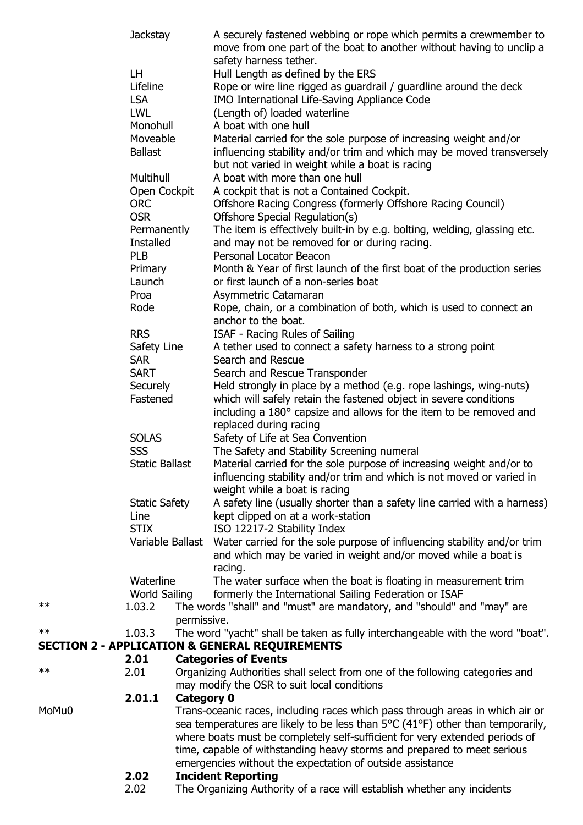|            | <b>Jackstay</b>        |                   | A securely fastened webbing or rope which permits a crewmember to<br>move from one part of the boat to another without having to unclip a                         |
|------------|------------------------|-------------------|-------------------------------------------------------------------------------------------------------------------------------------------------------------------|
|            |                        |                   | safety harness tether.                                                                                                                                            |
|            | LH.                    |                   | Hull Length as defined by the ERS                                                                                                                                 |
|            | Lifeline<br><b>LSA</b> |                   | Rope or wire line rigged as guardrail / guardline around the deck<br>IMO International Life-Saving Appliance Code                                                 |
|            | <b>LWL</b>             |                   | (Length of) loaded waterline                                                                                                                                      |
|            | Monohull               |                   | A boat with one hull                                                                                                                                              |
|            | Moveable               |                   | Material carried for the sole purpose of increasing weight and/or                                                                                                 |
|            | <b>Ballast</b>         |                   | influencing stability and/or trim and which may be moved transversely                                                                                             |
|            |                        |                   | but not varied in weight while a boat is racing                                                                                                                   |
|            | Multihull              |                   | A boat with more than one hull                                                                                                                                    |
|            | Open Cockpit           |                   | A cockpit that is not a Contained Cockpit.                                                                                                                        |
|            | <b>ORC</b>             |                   | Offshore Racing Congress (formerly Offshore Racing Council)                                                                                                       |
|            | <b>OSR</b>             |                   | Offshore Special Regulation(s)                                                                                                                                    |
|            | Permanently            |                   | The item is effectively built-in by e.g. bolting, welding, glassing etc.                                                                                          |
|            | <b>Installed</b>       |                   | and may not be removed for or during racing.                                                                                                                      |
|            | <b>PLB</b>             |                   | Personal Locator Beacon                                                                                                                                           |
|            | Primary                |                   | Month & Year of first launch of the first boat of the production series                                                                                           |
|            | Launch                 |                   | or first launch of a non-series boat                                                                                                                              |
|            | Proa                   |                   | Asymmetric Catamaran                                                                                                                                              |
|            | Rode                   |                   | Rope, chain, or a combination of both, which is used to connect an                                                                                                |
|            |                        |                   | anchor to the boat.                                                                                                                                               |
|            | <b>RRS</b>             |                   | ISAF - Racing Rules of Sailing                                                                                                                                    |
|            | Safety Line            |                   | A tether used to connect a safety harness to a strong point                                                                                                       |
|            | <b>SAR</b>             |                   | Search and Rescue                                                                                                                                                 |
|            | <b>SART</b>            |                   | Search and Rescue Transponder                                                                                                                                     |
|            | Securely               |                   | Held strongly in place by a method (e.g. rope lashings, wing-nuts)                                                                                                |
|            | Fastened               |                   | which will safely retain the fastened object in severe conditions<br>including a 180° capsize and allows for the item to be removed and<br>replaced during racing |
|            | <b>SOLAS</b>           |                   | Safety of Life at Sea Convention                                                                                                                                  |
|            | <b>SSS</b>             |                   | The Safety and Stability Screening numeral                                                                                                                        |
|            | Static Ballast         |                   | Material carried for the sole purpose of increasing weight and/or to                                                                                              |
|            |                        |                   | influencing stability and/or trim and which is not moved or varied in<br>weight while a boat is racing                                                            |
|            | <b>Static Safety</b>   |                   | A safety line (usually shorter than a safety line carried with a harness)                                                                                         |
|            | Line                   |                   | kept clipped on at a work-station                                                                                                                                 |
|            | <b>STIX</b>            |                   | ISO 12217-2 Stability Index                                                                                                                                       |
|            |                        |                   | Variable Ballast Water carried for the sole purpose of influencing stability and/or trim                                                                          |
|            |                        |                   | and which may be varied in weight and/or moved while a boat is<br>racing.                                                                                         |
|            | Waterline              |                   | The water surface when the boat is floating in measurement trim                                                                                                   |
|            | World Sailing          |                   | formerly the International Sailing Federation or ISAF                                                                                                             |
| $\ast\ast$ | 1.03.2                 |                   | The words "shall" and "must" are mandatory, and "should" and "may" are                                                                                            |
|            |                        | permissive.       |                                                                                                                                                                   |
| $\ast\ast$ | 1.03.3                 |                   | The word "yacht" shall be taken as fully interchangeable with the word "boat".                                                                                    |
|            |                        |                   | <b>SECTION 2 - APPLICATION &amp; GENERAL REQUIREMENTS</b>                                                                                                         |
| $\ast\ast$ | 2.01                   |                   | <b>Categories of Events</b>                                                                                                                                       |
|            | 2.01                   |                   | Organizing Authorities shall select from one of the following categories and                                                                                      |
|            | 2.01.1                 |                   | may modify the OSR to suit local conditions                                                                                                                       |
| MoMu0      |                        | <b>Category 0</b> | Trans-oceanic races, including races which pass through areas in which air or                                                                                     |
|            |                        |                   | sea temperatures are likely to be less than $5^{\circ}C$ (41 $^{\circ}F$ ) other than temporarily,                                                                |
|            |                        |                   | where boats must be completely self-sufficient for very extended periods of                                                                                       |
|            |                        |                   | time, capable of withstanding heavy storms and prepared to meet serious                                                                                           |
|            |                        |                   | emergencies without the expectation of outside assistance                                                                                                         |
|            | 2.02                   |                   | <b>Incident Reporting</b>                                                                                                                                         |
|            | 2.02                   |                   | The Organizing Authority of a race will establish whether any incidents                                                                                           |
|            |                        |                   |                                                                                                                                                                   |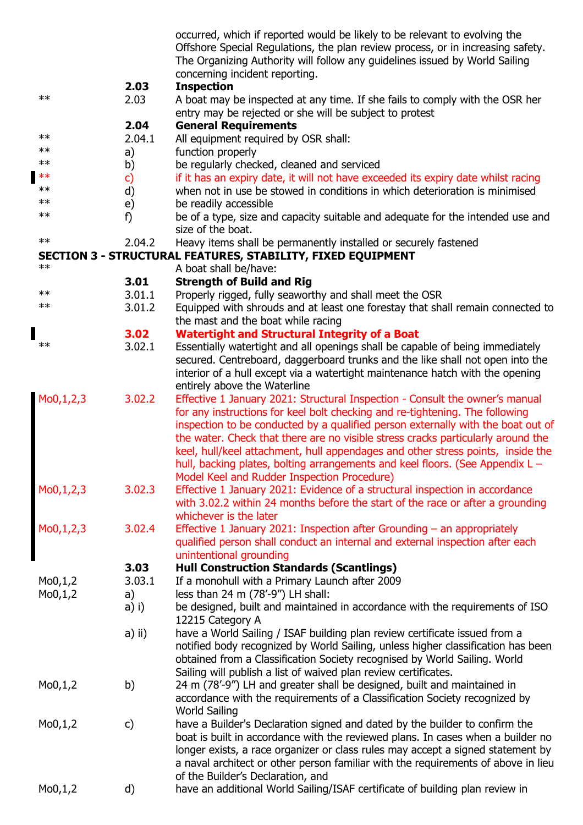|                       |               | occurred, which if reported would be likely to be relevant to evolving the<br>Offshore Special Regulations, the plan review process, or in increasing safety.<br>The Organizing Authority will follow any guidelines issued by World Sailing |
|-----------------------|---------------|----------------------------------------------------------------------------------------------------------------------------------------------------------------------------------------------------------------------------------------------|
|                       |               | concerning incident reporting.                                                                                                                                                                                                               |
|                       | 2.03          | <b>Inspection</b>                                                                                                                                                                                                                            |
| $***$                 | 2.03          | A boat may be inspected at any time. If she fails to comply with the OSR her                                                                                                                                                                 |
|                       |               | entry may be rejected or she will be subject to protest                                                                                                                                                                                      |
|                       | 2.04          | <b>General Requirements</b>                                                                                                                                                                                                                  |
| $\ast\ast$            | 2.04.1        | All equipment required by OSR shall:                                                                                                                                                                                                         |
| $***$                 | a)            | function properly                                                                                                                                                                                                                            |
| $**$                  | b)            | be regularly checked, cleaned and serviced                                                                                                                                                                                                   |
| $**$                  | $\mathsf{c})$ | if it has an expiry date, it will not have exceeded its expiry date whilst racing                                                                                                                                                            |
| $***$<br>$***$        | d)            | when not in use be stowed in conditions in which deterioration is minimised                                                                                                                                                                  |
| $***$                 | e)            | be readily accessible                                                                                                                                                                                                                        |
|                       | f)            | be of a type, size and capacity suitable and adequate for the intended use and<br>size of the boat.                                                                                                                                          |
| $**$                  | 2.04.2        | Heavy items shall be permanently installed or securely fastened                                                                                                                                                                              |
|                       |               | SECTION 3 - STRUCTURAL FEATURES, STABILITY, FIXED EQUIPMENT                                                                                                                                                                                  |
| $**$                  |               | A boat shall be/have:                                                                                                                                                                                                                        |
|                       | 3.01          | <b>Strength of Build and Rig</b>                                                                                                                                                                                                             |
| $\ast\ast$            | 3.01.1        | Properly rigged, fully seaworthy and shall meet the OSR                                                                                                                                                                                      |
| $\ast\ast$            | 3.01.2        | Equipped with shrouds and at least one forestay that shall remain connected to                                                                                                                                                               |
|                       |               | the mast and the boat while racing                                                                                                                                                                                                           |
| $***$                 | 3.02          | <b>Watertight and Structural Integrity of a Boat</b>                                                                                                                                                                                         |
|                       | 3.02.1        | Essentially watertight and all openings shall be capable of being immediately                                                                                                                                                                |
|                       |               | secured. Centreboard, daggerboard trunks and the like shall not open into the                                                                                                                                                                |
|                       |               | interior of a hull except via a watertight maintenance hatch with the opening                                                                                                                                                                |
|                       |               | entirely above the Waterline                                                                                                                                                                                                                 |
| Mo0,1,2,3             | 3.02.2        | Effective 1 January 2021: Structural Inspection - Consult the owner's manual                                                                                                                                                                 |
|                       |               | for any instructions for keel bolt checking and re-tightening. The following<br>inspection to be conducted by a qualified person externally with the boat out of                                                                             |
|                       |               | the water. Check that there are no visible stress cracks particularly around the                                                                                                                                                             |
|                       |               | keel, hull/keel attachment, hull appendages and other stress points, inside the                                                                                                                                                              |
|                       |               | hull, backing plates, bolting arrangements and keel floors. (See Appendix L -                                                                                                                                                                |
|                       |               | Model Keel and Rudder Inspection Procedure)                                                                                                                                                                                                  |
| Mo0,1,2,3             | 3.02.3        | Effective 1 January 2021: Evidence of a structural inspection in accordance                                                                                                                                                                  |
|                       |               | with 3.02.2 within 24 months before the start of the race or after a grounding                                                                                                                                                               |
|                       |               | whichever is the later                                                                                                                                                                                                                       |
| Mo0,1,2,3             | 3.02.4        | Effective 1 January 2021: Inspection after Grounding $-$ an appropriately                                                                                                                                                                    |
|                       |               | qualified person shall conduct an internal and external inspection after each                                                                                                                                                                |
|                       |               | unintentional grounding                                                                                                                                                                                                                      |
|                       | 3.03          | <b>Hull Construction Standards (Scantlings)</b>                                                                                                                                                                                              |
| Mo0,1,2               | 3.03.1        | If a monohull with a Primary Launch after 2009                                                                                                                                                                                               |
| Mo0,1,2               | a)            | less than 24 m (78'-9") LH shall:                                                                                                                                                                                                            |
|                       | a) i)         | be designed, built and maintained in accordance with the requirements of ISO                                                                                                                                                                 |
|                       |               | 12215 Category A                                                                                                                                                                                                                             |
|                       | a) ii)        | have a World Sailing / ISAF building plan review certificate issued from a                                                                                                                                                                   |
|                       |               | notified body recognized by World Sailing, unless higher classification has been                                                                                                                                                             |
|                       |               | obtained from a Classification Society recognised by World Sailing. World                                                                                                                                                                    |
|                       |               | Sailing will publish a list of waived plan review certificates.                                                                                                                                                                              |
| Mo0,1,2               | b)            | 24 m (78'-9") LH and greater shall be designed, built and maintained in                                                                                                                                                                      |
|                       |               | accordance with the requirements of a Classification Society recognized by                                                                                                                                                                   |
|                       |               | <b>World Sailing</b>                                                                                                                                                                                                                         |
| Mo0,1,2               | C)            | have a Builder's Declaration signed and dated by the builder to confirm the                                                                                                                                                                  |
|                       |               | boat is built in accordance with the reviewed plans. In cases when a builder no                                                                                                                                                              |
|                       |               | longer exists, a race organizer or class rules may accept a signed statement by                                                                                                                                                              |
|                       |               | a naval architect or other person familiar with the requirements of above in lieu                                                                                                                                                            |
|                       |               | of the Builder's Declaration, and                                                                                                                                                                                                            |
| M <sub>0</sub> , 1, 2 | d)            | have an additional World Sailing/ISAF certificate of building plan review in                                                                                                                                                                 |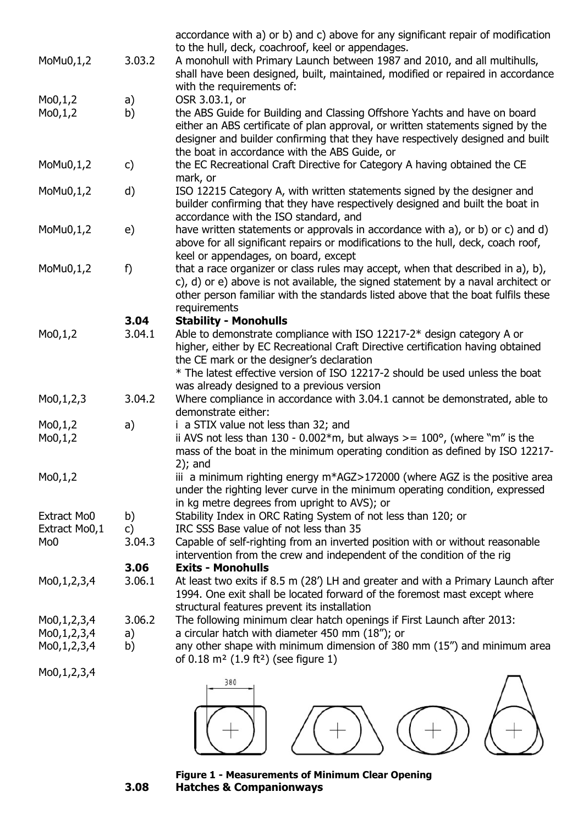|                 |        | accordance with a) or b) and c) above for any significant repair of modification                                                                                       |
|-----------------|--------|------------------------------------------------------------------------------------------------------------------------------------------------------------------------|
| MoMu0,1,2       | 3.03.2 | to the hull, deck, coachroof, keel or appendages.<br>A monohull with Primary Launch between 1987 and 2010, and all multihulls,                                         |
|                 |        | shall have been designed, built, maintained, modified or repaired in accordance                                                                                        |
|                 |        | with the requirements of:                                                                                                                                              |
| Mo0,1,2         | a)     | OSR 3.03.1, or                                                                                                                                                         |
| Mo0,1,2         | b)     | the ABS Guide for Building and Classing Offshore Yachts and have on board                                                                                              |
|                 |        | either an ABS certificate of plan approval, or written statements signed by the                                                                                        |
|                 |        | designer and builder confirming that they have respectively designed and built                                                                                         |
|                 |        | the boat in accordance with the ABS Guide, or                                                                                                                          |
| MoMu0,1,2       | c)     | the EC Recreational Craft Directive for Category A having obtained the CE                                                                                              |
|                 |        | mark, or                                                                                                                                                               |
| $M_0M_0,1,2$    | d)     | ISO 12215 Category A, with written statements signed by the designer and                                                                                               |
|                 |        | builder confirming that they have respectively designed and built the boat in                                                                                          |
|                 |        | accordance with the ISO standard, and                                                                                                                                  |
| MoMu0,1,2       | e)     | have written statements or approvals in accordance with a), or b) or c) and d)                                                                                         |
|                 |        | above for all significant repairs or modifications to the hull, deck, coach roof,                                                                                      |
|                 |        | keel or appendages, on board, except                                                                                                                                   |
| MoMu0,1,2       | f)     | that a race organizer or class rules may accept, when that described in a), b),                                                                                        |
|                 |        | c), d) or e) above is not available, the signed statement by a naval architect or<br>other person familiar with the standards listed above that the boat fulfils these |
|                 |        | requirements                                                                                                                                                           |
|                 | 3.04   | <b>Stability - Monohulls</b>                                                                                                                                           |
| Mo0,1,2         | 3.04.1 | Able to demonstrate compliance with ISO 12217-2* design category A or                                                                                                  |
|                 |        | higher, either by EC Recreational Craft Directive certification having obtained                                                                                        |
|                 |        | the CE mark or the designer's declaration                                                                                                                              |
|                 |        | * The latest effective version of ISO 12217-2 should be used unless the boat                                                                                           |
|                 |        | was already designed to a previous version                                                                                                                             |
| Mo0,1,2,3       | 3.04.2 | Where compliance in accordance with 3.04.1 cannot be demonstrated, able to                                                                                             |
|                 |        | demonstrate either:                                                                                                                                                    |
| Mo0,1,2         | a)     | i a STIX value not less than 32; and                                                                                                                                   |
| Mo0,1,2         |        | ii AVS not less than $130 - 0.002*$ m, but always >= $100^{\circ}$ , (where "m" is the                                                                                 |
|                 |        | mass of the boat in the minimum operating condition as defined by ISO 12217-                                                                                           |
|                 |        | $2$ : and                                                                                                                                                              |
| Mo0,1,2         |        | iii a minimum righting energy $m*AGZ > 172000$ (where AGZ is the positive area                                                                                         |
|                 |        | under the righting lever curve in the minimum operating condition, expressed<br>in kg metre degrees from upright to AVS); or                                           |
| Extract Mo0     | b)     | Stability Index in ORC Rating System of not less than 120; or                                                                                                          |
| Extract Mo0,1   | C)     | IRC SSS Base value of not less than 35                                                                                                                                 |
| Mo <sub>0</sub> | 3.04.3 | Capable of self-righting from an inverted position with or without reasonable                                                                                          |
|                 |        | intervention from the crew and independent of the condition of the rig                                                                                                 |
|                 | 3.06   | <b>Exits - Monohulls</b>                                                                                                                                               |
| Mo0,1,2,3,4     | 3.06.1 | At least two exits if 8.5 m (28') LH and greater and with a Primary Launch after                                                                                       |
|                 |        | 1994. One exit shall be located forward of the foremost mast except where                                                                                              |
|                 |        | structural features prevent its installation                                                                                                                           |
| Mo0,1,2,3,4     | 3.06.2 | The following minimum clear hatch openings if First Launch after 2013:                                                                                                 |
| Mo0,1,2,3,4     | a)     | a circular hatch with diameter 450 mm (18"); or                                                                                                                        |
| Mo0,1,2,3,4     | b)     | any other shape with minimum dimension of 380 mm (15") and minimum area                                                                                                |
|                 |        | of $0.18 \text{ m}^2$ (1.9 ft <sup>2</sup> ) (see figure 1)                                                                                                            |
| Mo0,1,2,3,4     |        | 380                                                                                                                                                                    |



**Figure 1 - Measurements of Minimum Clear Opening 3.08 Hatches & Companionways**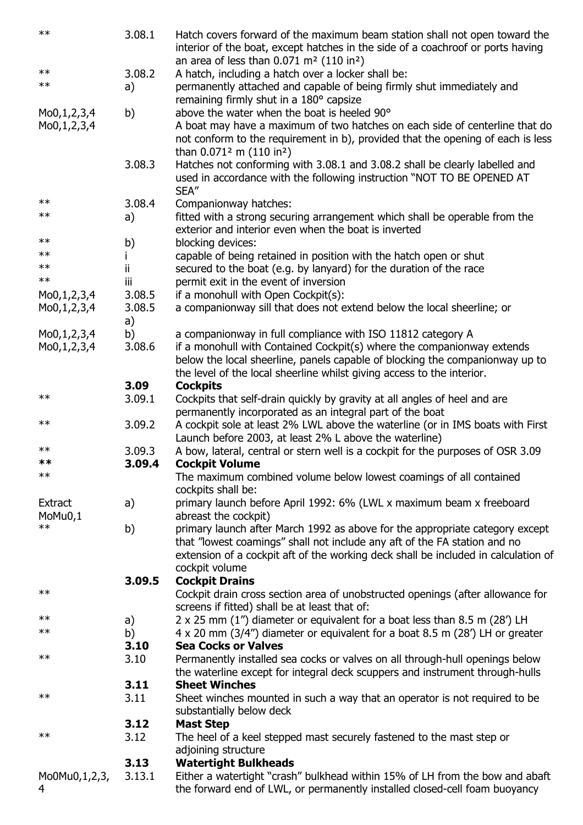| $**$                      | 3.08.1 | Hatch covers forward of the maximum beam station shall not open toward the<br>interior of the boat, except hatches in the side of a coachroof or ports having<br>an area of less than $0.071$ m <sup>2</sup> (110 in <sup>2</sup> ) |
|---------------------------|--------|-------------------------------------------------------------------------------------------------------------------------------------------------------------------------------------------------------------------------------------|
| $\ast\ast$                | 3.08.2 | A hatch, including a hatch over a locker shall be:                                                                                                                                                                                  |
| $\ast\ast$                | a)     | permanently attached and capable of being firmly shut immediately and                                                                                                                                                               |
|                           |        | remaining firmly shut in a 180° capsize<br>above the water when the boat is heeled 90°                                                                                                                                              |
| Mo0,1,2,3,4               | b)     | A boat may have a maximum of two hatches on each side of centerline that do                                                                                                                                                         |
| Mo0,1,2,3,4               |        | not conform to the requirement in b), provided that the opening of each is less<br>than $0.071^2$ m (110 in <sup>2</sup> )                                                                                                          |
|                           | 3.08.3 | Hatches not conforming with 3.08.1 and 3.08.2 shall be clearly labelled and<br>used in accordance with the following instruction "NOT TO BE OPENED AT<br>SEA"                                                                       |
| $\ast\ast$                | 3.08.4 | Companionway hatches:                                                                                                                                                                                                               |
| $\ast\ast$                | a)     | fitted with a strong securing arrangement which shall be operable from the                                                                                                                                                          |
|                           |        | exterior and interior even when the boat is inverted                                                                                                                                                                                |
| $\ast\ast$                | b)     | blocking devices:                                                                                                                                                                                                                   |
| $***$                     |        | capable of being retained in position with the hatch open or shut                                                                                                                                                                   |
| $\ast\ast$                | ij.    | secured to the boat (e.g. by lanyard) for the duration of the race                                                                                                                                                                  |
| $**$                      | iii    | permit exit in the event of inversion                                                                                                                                                                                               |
| Mo0,1,2,3,4               | 3.08.5 | if a monohull with Open Cockpit(s):                                                                                                                                                                                                 |
|                           | 3.08.5 | a companionway sill that does not extend below the local sheerline; or                                                                                                                                                              |
| Mo0,1,2,3,4               | a)     |                                                                                                                                                                                                                                     |
| Mo0,1,2,3,4               | b)     | a companionway in full compliance with ISO 11812 category A                                                                                                                                                                         |
| Mo0,1,2,3,4               | 3.08.6 | if a monohull with Contained Cockpit(s) where the companionway extends                                                                                                                                                              |
|                           |        | below the local sheerline, panels capable of blocking the companionway up to                                                                                                                                                        |
|                           |        | the level of the local sheerline whilst giving access to the interior.                                                                                                                                                              |
|                           | 3.09   | <b>Cockpits</b>                                                                                                                                                                                                                     |
| $\ast\ast$                | 3.09.1 | Cockpits that self-drain quickly by gravity at all angles of heel and are                                                                                                                                                           |
|                           |        | permanently incorporated as an integral part of the boat                                                                                                                                                                            |
| $\ast\ast$                | 3.09.2 | A cockpit sole at least 2% LWL above the waterline (or in IMS boats with First                                                                                                                                                      |
|                           |        | Launch before 2003, at least 2% L above the waterline)                                                                                                                                                                              |
| $\ast\ast$                | 3.09.3 | A bow, lateral, central or stern well is a cockpit for the purposes of OSR 3.09                                                                                                                                                     |
| **                        | 3.09.4 | <b>Cockpit Volume</b>                                                                                                                                                                                                               |
| $\ast\ast$                |        | The maximum combined volume below lowest coamings of all contained<br>cockpits shall be:                                                                                                                                            |
| <b>Extract</b><br>MoMu0,1 | a)     | primary launch before April 1992: 6% (LWL x maximum beam x freeboard<br>abreast the cockpit)                                                                                                                                        |
| $**$                      | b)     | primary launch after March 1992 as above for the appropriate category except                                                                                                                                                        |
|                           |        | that "lowest coamings" shall not include any aft of the FA station and no                                                                                                                                                           |
|                           |        | extension of a cockpit aft of the working deck shall be included in calculation of                                                                                                                                                  |
|                           |        | cockpit volume                                                                                                                                                                                                                      |
|                           | 3.09.5 | <b>Cockpit Drains</b>                                                                                                                                                                                                               |
| $\ast\ast$                |        | Cockpit drain cross section area of unobstructed openings (after allowance for<br>screens if fitted) shall be at least that of:                                                                                                     |
| $\ast\ast$                | a)     | 2 x 25 mm (1") diameter or equivalent for a boat less than 8.5 m (28') LH                                                                                                                                                           |
| $\ast\ast$                | b)     | 4 x 20 mm (3/4") diameter or equivalent for a boat 8.5 m (28") LH or greater                                                                                                                                                        |
|                           | 3.10   | <b>Sea Cocks or Valves</b>                                                                                                                                                                                                          |
| $\ast\ast$                | 3.10   | Permanently installed sea cocks or valves on all through-hull openings below                                                                                                                                                        |
|                           |        | the waterline except for integral deck scuppers and instrument through-hulls                                                                                                                                                        |
|                           | 3.11   | <b>Sheet Winches</b>                                                                                                                                                                                                                |
| $\ast\ast$                | 3.11   | Sheet winches mounted in such a way that an operator is not required to be<br>substantially below deck                                                                                                                              |
|                           | 3.12   | <b>Mast Step</b>                                                                                                                                                                                                                    |
| $**$                      | 3.12   | The heel of a keel stepped mast securely fastened to the mast step or                                                                                                                                                               |
|                           |        | adjoining structure                                                                                                                                                                                                                 |
|                           | 3.13   | <b>Watertight Bulkheads</b>                                                                                                                                                                                                         |
| Mo0Mu0,1,2,3,             | 3.13.1 | Either a watertight "crash" bulkhead within 15% of LH from the bow and abaft                                                                                                                                                        |
| 4                         |        | the forward end of LWL, or permanently installed closed-cell foam buoyancy                                                                                                                                                          |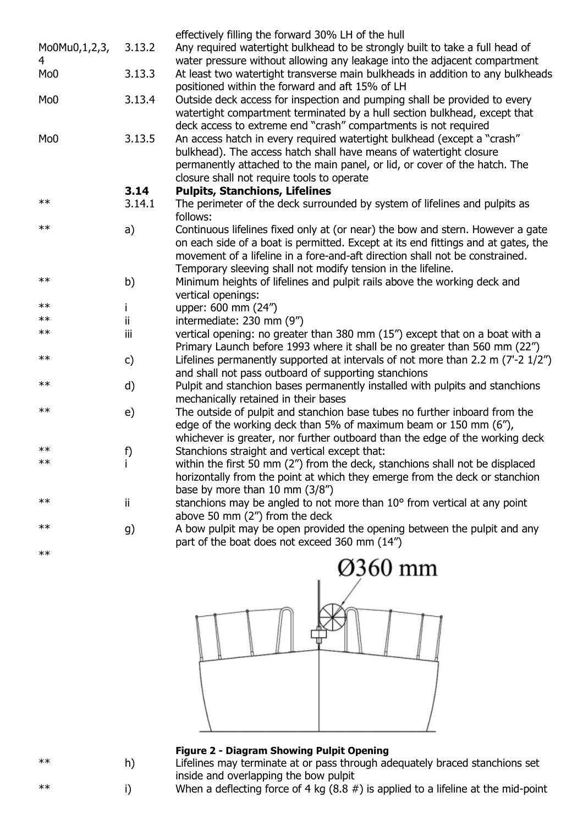|                 |               | effectively filling the forward 30% LH of the hull                                 |
|-----------------|---------------|------------------------------------------------------------------------------------|
| Mo0Mu0,1,2,3,   | 3.13.2        | Any required watertight bulkhead to be strongly built to take a full head of       |
| 4               |               | water pressure without allowing any leakage into the adjacent compartment          |
| Mo <sub>0</sub> | 3.13.3        | At least two watertight transverse main bulkheads in addition to any bulkheads     |
|                 |               | positioned within the forward and aft 15% of LH                                    |
| Mo <sub>0</sub> | 3.13.4        | Outside deck access for inspection and pumping shall be provided to every          |
|                 |               | watertight compartment terminated by a hull section bulkhead, except that          |
|                 |               | deck access to extreme end "crash" compartments is not required                    |
| Mo <sub>0</sub> | 3.13.5        | An access hatch in every required watertight bulkhead (except a "crash"            |
|                 |               | bulkhead). The access hatch shall have means of watertight closure                 |
|                 |               | permanently attached to the main panel, or lid, or cover of the hatch. The         |
|                 |               | closure shall not require tools to operate                                         |
|                 | 3.14          | <b>Pulpits, Stanchions, Lifelines</b>                                              |
| $\ast\ast$      | 3.14.1        | The perimeter of the deck surrounded by system of lifelines and pulpits as         |
|                 |               | follows:                                                                           |
| $\ast\ast$      | a)            | Continuous lifelines fixed only at (or near) the bow and stern. However a gate     |
|                 |               | on each side of a boat is permitted. Except at its end fittings and at gates, the  |
|                 |               | movement of a lifeline in a fore-and-aft direction shall not be constrained.       |
|                 |               | Temporary sleeving shall not modify tension in the lifeline.                       |
| $\ast\ast$      | b)            | Minimum heights of lifelines and pulpit rails above the working deck and           |
|                 |               | vertical openings:                                                                 |
| $**$            | j.            | upper: 600 mm (24")                                                                |
| $**$            | ii            | intermediate: 230 mm (9")                                                          |
| $**$            | iii           | vertical opening: no greater than 380 mm (15") except that on a boat with a        |
|                 |               | Primary Launch before 1993 where it shall be no greater than 560 mm (22")          |
| $\ast\ast$      | $\mathsf{c})$ | Lifelines permanently supported at intervals of not more than 2.2 m $(7'-2)$ 1/2") |
|                 |               | and shall not pass outboard of supporting stanchions                               |
| $\ast\ast$      | d)            | Pulpit and stanchion bases permanently installed with pulpits and stanchions       |
|                 |               | mechanically retained in their bases                                               |
| $\ast\ast$      | e)            | The outside of pulpit and stanchion base tubes no further inboard from the         |
|                 |               | edge of the working deck than 5% of maximum beam or 150 mm (6"),                   |
|                 |               | whichever is greater, nor further outboard than the edge of the working deck       |
| $\ast\ast$      | f)            | Stanchions straight and vertical except that:                                      |
| $***$           |               | within the first 50 mm (2") from the deck, stanchions shall not be displaced       |
|                 |               | horizontally from the point at which they emerge from the deck or stanchion        |
|                 |               | base by more than $10 \text{ mm}$ (3/8")                                           |
| $***$           | ij.           | stanchions may be angled to not more than 10° from vertical at any point           |
| $\ast\ast$      |               | above 50 mm (2") from the deck                                                     |
|                 | g)            | A bow pulpit may be open provided the opening between the pulpit and any           |
| $\ast\ast$      |               | part of the boat does not exceed 360 mm (14")                                      |
|                 |               |                                                                                    |



#### **Figure 2 - Diagram Showing Pulpit Opening**

\*\* h) Lifelines may terminate at or pass through adequately braced stanchions set inside and overlapping the bow pulpit

\*\* i) When a deflecting force of 4 kg (8.8 #) is applied to a lifeline at the mid-point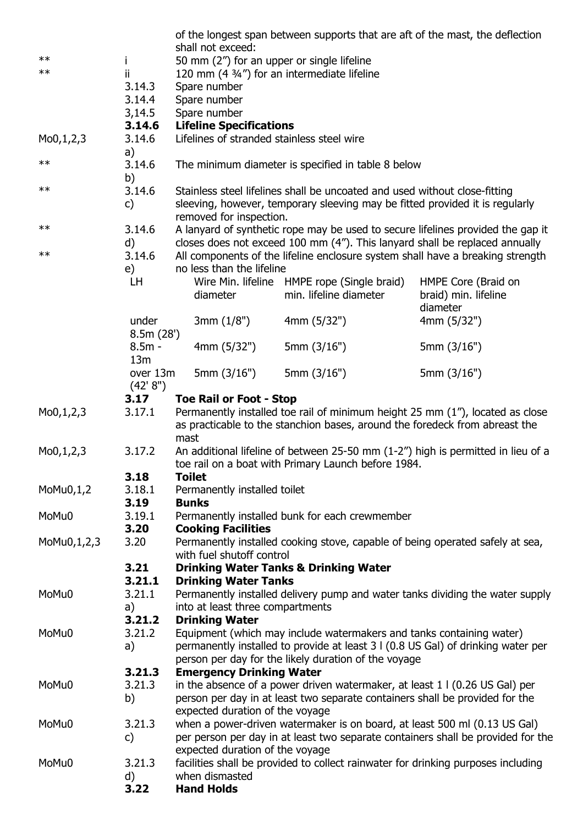|                          |                      |                                                                      | of the longest span between supports that are aft of the mast, the deflection     |                                                                                  |
|--------------------------|----------------------|----------------------------------------------------------------------|-----------------------------------------------------------------------------------|----------------------------------------------------------------------------------|
|                          |                      | shall not exceed:                                                    |                                                                                   |                                                                                  |
| $**$<br>$***$            | i.                   | 50 mm (2") for an upper or single lifeline                           |                                                                                   |                                                                                  |
|                          | ii.<br>3.14.3        | 120 mm $(4\frac{3}{4})$ for an intermediate lifeline<br>Spare number |                                                                                   |                                                                                  |
|                          | 3.14.4               | Spare number                                                         |                                                                                   |                                                                                  |
|                          | 3,14.5               | Spare number                                                         |                                                                                   |                                                                                  |
|                          | 3.14.6               | <b>Lifeline Specifications</b>                                       |                                                                                   |                                                                                  |
| Mo0,1,2,3                | 3.14.6               | Lifelines of stranded stainless steel wire                           |                                                                                   |                                                                                  |
|                          | a)                   |                                                                      |                                                                                   |                                                                                  |
| $\ast\ast$               | 3.14.6<br>b)         |                                                                      | The minimum diameter is specified in table 8 below                                |                                                                                  |
| $\ast\ast$               | 3.14.6               |                                                                      | Stainless steel lifelines shall be uncoated and used without close-fitting        |                                                                                  |
|                          | $\mathsf{c}$         | removed for inspection.                                              | sleeving, however, temporary sleeving may be fitted provided it is regularly      |                                                                                  |
| $***$                    | 3.14.6               |                                                                      | A lanyard of synthetic rope may be used to secure lifelines provided the gap it   |                                                                                  |
|                          | d)                   |                                                                      | closes does not exceed 100 mm (4"). This lanyard shall be replaced annually       |                                                                                  |
| $\ast\ast$               | 3.14.6               |                                                                      | All components of the lifeline enclosure system shall have a breaking strength    |                                                                                  |
|                          | e)                   | no less than the lifeline                                            |                                                                                   |                                                                                  |
|                          | LH.                  |                                                                      | Wire Min. lifeline HMPE rope (Single braid)                                       | HMPE Core (Braid on                                                              |
|                          |                      | diameter                                                             | min. lifeline diameter                                                            | braid) min. lifeline<br>diameter                                                 |
|                          | under<br>8.5m(28')   | 3mm(1/8")                                                            | 4mm (5/32")                                                                       | 4mm (5/32")                                                                      |
|                          | $8.5m -$<br>13m      | 4mm(5/32")                                                           | 5mm $(3/16")$                                                                     | 5mm (3/16")                                                                      |
|                          | over 13m<br>(42' 8") | 5mm $(3/16")$                                                        | 5mm $(3/16")$                                                                     | 5mm (3/16")                                                                      |
|                          | 3.17                 | <b>Toe Rail or Foot - Stop</b>                                       |                                                                                   |                                                                                  |
| M <sub>0</sub> , 1, 2, 3 | 3.17.1               |                                                                      | Permanently installed toe rail of minimum height 25 mm (1"), located as close     |                                                                                  |
|                          |                      | mast                                                                 | as practicable to the stanchion bases, around the foredeck from abreast the       |                                                                                  |
| Mo0,1,2,3                | 3.17.2               |                                                                      | An additional lifeline of between 25-50 mm (1-2") high is permitted in lieu of a  |                                                                                  |
|                          |                      |                                                                      | toe rail on a boat with Primary Launch before 1984.                               |                                                                                  |
|                          | 3.18                 | <b>Toilet</b>                                                        |                                                                                   |                                                                                  |
| $M_0M_0,1,2$             | 3.18.1               | Permanently installed toilet                                         |                                                                                   |                                                                                  |
|                          | 3.19                 | <b>Bunks</b>                                                         |                                                                                   |                                                                                  |
| MoMu0                    | 3.19.1               |                                                                      | Permanently installed bunk for each crewmember                                    |                                                                                  |
|                          | 3.20                 | <b>Cooking Facilities</b>                                            |                                                                                   |                                                                                  |
| MoMu0,1,2,3              | 3.20                 |                                                                      | Permanently installed cooking stove, capable of being operated safely at sea,     |                                                                                  |
|                          |                      | with fuel shutoff control                                            |                                                                                   |                                                                                  |
|                          | 3.21<br>3.21.1       | <b>Drinking Water Tanks</b>                                          | <b>Drinking Water Tanks &amp; Drinking Water</b>                                  |                                                                                  |
| MoMu0                    | 3.21.1               |                                                                      |                                                                                   | Permanently installed delivery pump and water tanks dividing the water supply    |
|                          | a)                   | into at least three compartments                                     |                                                                                   |                                                                                  |
|                          | 3.21.2               | <b>Drinking Water</b>                                                |                                                                                   |                                                                                  |
| MoMu0                    | 3.21.2               |                                                                      | Equipment (which may include watermakers and tanks containing water)              |                                                                                  |
|                          | a)                   |                                                                      | permanently installed to provide at least 3 I (0.8 US Gal) of drinking water per  |                                                                                  |
|                          |                      |                                                                      | person per day for the likely duration of the voyage                              |                                                                                  |
|                          | 3.21.3               | <b>Emergency Drinking Water</b>                                      |                                                                                   |                                                                                  |
| MoMu0                    | 3.21.3               |                                                                      | in the absence of a power driven watermaker, at least $11(0.26$ US Gal) per       |                                                                                  |
|                          | b)                   |                                                                      | person per day in at least two separate containers shall be provided for the      |                                                                                  |
|                          |                      | expected duration of the voyage                                      |                                                                                   |                                                                                  |
| MoMu0                    | 3.21.3               |                                                                      | when a power-driven watermaker is on board, at least 500 ml (0.13 US Gal)         |                                                                                  |
|                          | C)                   |                                                                      |                                                                                   | per person per day in at least two separate containers shall be provided for the |
|                          |                      | expected duration of the voyage                                      |                                                                                   |                                                                                  |
| MoMu0                    | 3.21.3               |                                                                      | facilities shall be provided to collect rainwater for drinking purposes including |                                                                                  |
|                          | d)<br>3.22           | when dismasted<br><b>Hand Holds</b>                                  |                                                                                   |                                                                                  |
|                          |                      |                                                                      |                                                                                   |                                                                                  |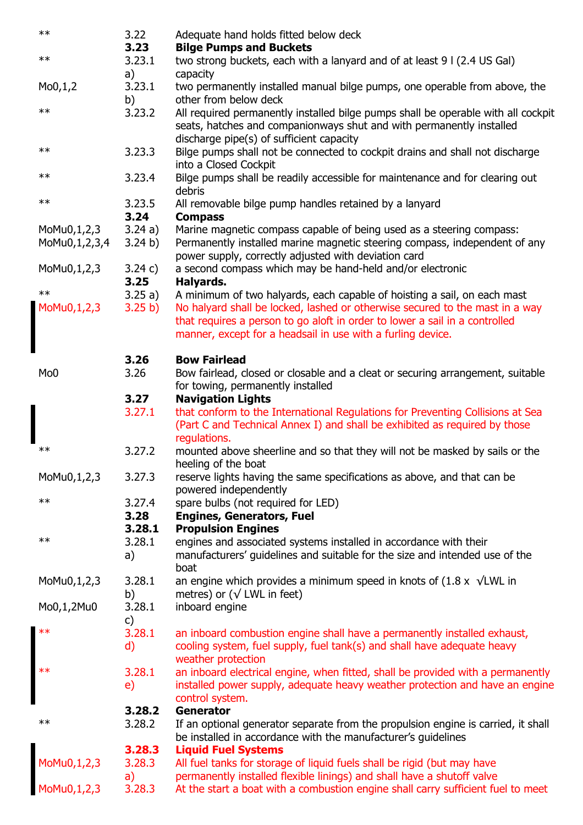| $**$            | 3.22    | Adequate hand holds fitted below deck                                                          |
|-----------------|---------|------------------------------------------------------------------------------------------------|
|                 | 3.23    | <b>Bilge Pumps and Buckets</b>                                                                 |
| $**$            | 3.23.1  | two strong buckets, each with a lanyard and of at least 9 I (2.4 US Gal)                       |
|                 | a)      | capacity                                                                                       |
| Mo0,1,2         | 3.23.1  | two permanently installed manual bilge pumps, one operable from above, the                     |
|                 | b)      | other from below deck                                                                          |
| $**$            | 3.23.2  | All required permanently installed bilge pumps shall be operable with all cockpit              |
|                 |         | seats, hatches and companionways shut and with permanently installed                           |
|                 |         | discharge pipe(s) of sufficient capacity                                                       |
| $\ast\ast$      | 3.23.3  | Bilge pumps shall not be connected to cockpit drains and shall not discharge                   |
|                 |         | into a Closed Cockpit                                                                          |
| $**$            | 3.23.4  | Bilge pumps shall be readily accessible for maintenance and for clearing out                   |
|                 |         | debris                                                                                         |
| $**$            | 3.23.5  | All removable bilge pump handles retained by a lanyard                                         |
|                 | 3.24    | <b>Compass</b>                                                                                 |
| MoMu0,1,2,3     | 3.24a)  | Marine magnetic compass capable of being used as a steering compass:                           |
| MoMu0,1,2,3,4   | 3.24 b) | Permanently installed marine magnetic steering compass, independent of any                     |
|                 |         | power supply, correctly adjusted with deviation card                                           |
| MoMu0,1,2,3     | 3.24 c) | a second compass which may be hand-held and/or electronic                                      |
|                 | 3.25    | Halyards.                                                                                      |
| $***$           | 3.25a)  | A minimum of two halyards, each capable of hoisting a sail, on each mast                       |
| MoMu0, 1, 2, 3  | 3.25 b) | No halyard shall be locked, lashed or otherwise secured to the mast in a way                   |
|                 |         | that requires a person to go aloft in order to lower a sail in a controlled                    |
|                 |         | manner, except for a headsail in use with a furling device.                                    |
|                 |         |                                                                                                |
|                 | 3.26    | <b>Bow Fairlead</b>                                                                            |
| Mo <sub>0</sub> | 3.26    | Bow fairlead, closed or closable and a cleat or securing arrangement, suitable                 |
|                 |         | for towing, permanently installed                                                              |
|                 | 3.27    | <b>Navigation Lights</b>                                                                       |
|                 | 3.27.1  | that conform to the International Regulations for Preventing Collisions at Sea                 |
|                 |         | (Part C and Technical Annex I) and shall be exhibited as required by those                     |
| $***$           |         | regulations.                                                                                   |
|                 | 3.27.2  | mounted above sheerline and so that they will not be masked by sails or the                    |
|                 | 3.27.3  | heeling of the boat<br>reserve lights having the same specifications as above, and that can be |
| MoMu0,1,2,3     |         | powered independently                                                                          |
| $***$           | 3.27.4  | spare bulbs (not required for LED)                                                             |
|                 | 3.28    | <b>Engines, Generators, Fuel</b>                                                               |
|                 | 3.28.1  | <b>Propulsion Engines</b>                                                                      |
| $***$           | 3.28.1  | engines and associated systems installed in accordance with their                              |
|                 | a)      | manufacturers' guidelines and suitable for the size and intended use of the                    |
|                 |         | boat                                                                                           |
| MoMu0,1,2,3     | 3.28.1  | an engine which provides a minimum speed in knots of $(1.8 \times \sqrt{LWL})$ in              |
|                 | b)      | metres) or ( $\sqrt{}$ LWL in feet)                                                            |
| Mo0,1,2Mu0      | 3.28.1  | inboard engine                                                                                 |
|                 | c)      |                                                                                                |
| $***$           | 3.28.1  | an inboard combustion engine shall have a permanently installed exhaust,                       |
|                 | d)      | cooling system, fuel supply, fuel tank(s) and shall have adequate heavy                        |
|                 |         | weather protection                                                                             |
| $***$           | 3.28.1  | an inboard electrical engine, when fitted, shall be provided with a permanently                |
|                 | e)      | installed power supply, adequate heavy weather protection and have an engine                   |
|                 |         | control system.                                                                                |
|                 | 3.28.2  | <b>Generator</b>                                                                               |
| $***$           | 3.28.2  | If an optional generator separate from the propulsion engine is carried, it shall              |
|                 |         |                                                                                                |
|                 |         | be installed in accordance with the manufacturer's guidelines                                  |
|                 | 3.28.3  | <b>Liquid Fuel Systems</b>                                                                     |
| MoMu0,1,2,3     | 3.28.3  | All fuel tanks for storage of liquid fuels shall be rigid (but may have                        |
|                 | a)      | permanently installed flexible linings) and shall have a shutoff valve                         |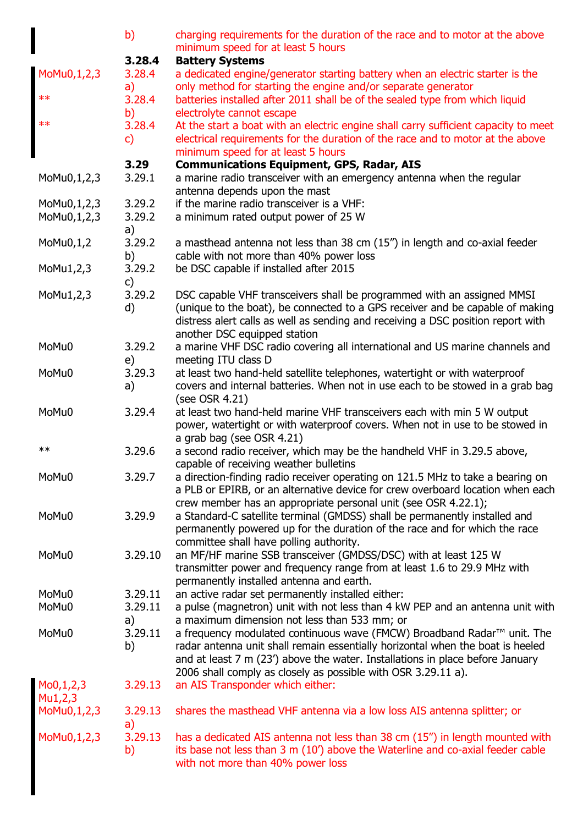|             | b)      | charging requirements for the duration of the race and to motor at the above<br>minimum speed for at least 5 hours |
|-------------|---------|--------------------------------------------------------------------------------------------------------------------|
|             | 3.28.4  | <b>Battery Systems</b>                                                                                             |
| MoMu0,1,2,3 | 3.28.4  | a dedicated engine/generator starting battery when an electric starter is the                                      |
|             | a)      | only method for starting the engine and/or separate generator                                                      |
| $**$        | 3.28.4  | batteries installed after 2011 shall be of the sealed type from which liquid                                       |
|             | b)      | electrolyte cannot escape                                                                                          |
| $\ast\ast$  | 3.28.4  | At the start a boat with an electric engine shall carry sufficient capacity to meet                                |
|             | C)      | electrical requirements for the duration of the race and to motor at the above                                     |
|             |         | minimum speed for at least 5 hours                                                                                 |
|             | 3.29    | <b>Communications Equipment, GPS, Radar, AIS</b>                                                                   |
| MoMu0,1,2,3 | 3.29.1  | a marine radio transceiver with an emergency antenna when the regular                                              |
|             |         | antenna depends upon the mast                                                                                      |
| MoMu0,1,2,3 | 3.29.2  | if the marine radio transceiver is a VHF:                                                                          |
| MoMu0,1,2,3 | 3.29.2  | a minimum rated output power of 25 W                                                                               |
|             | a)      |                                                                                                                    |
| MoMu0,1,2   | 3.29.2  | a masthead antenna not less than 38 cm (15") in length and co-axial feeder                                         |
|             | b)      | cable with not more than 40% power loss                                                                            |
| MoMu1,2,3   | 3.29.2  | be DSC capable if installed after 2015                                                                             |
|             | C)      |                                                                                                                    |
| MoMu1,2,3   | 3.29.2  | DSC capable VHF transceivers shall be programmed with an assigned MMSI                                             |
|             | d)      | (unique to the boat), be connected to a GPS receiver and be capable of making                                      |
|             |         | distress alert calls as well as sending and receiving a DSC position report with                                   |
|             |         | another DSC equipped station                                                                                       |
| MoMu0       | 3.29.2  | a marine VHF DSC radio covering all international and US marine channels and                                       |
|             | e)      | meeting ITU class D                                                                                                |
| MoMu0       | 3.29.3  | at least two hand-held satellite telephones, watertight or with waterproof                                         |
|             | a)      | covers and internal batteries. When not in use each to be stowed in a grab bag                                     |
|             |         | (see OSR 4.21)                                                                                                     |
| MoMu0       | 3.29.4  | at least two hand-held marine VHF transceivers each with min 5 W output                                            |
|             |         | power, watertight or with waterproof covers. When not in use to be stowed in                                       |
| $**$        | 3.29.6  | a grab bag (see OSR 4.21)<br>a second radio receiver, which may be the handheld VHF in 3.29.5 above,               |
|             |         | capable of receiving weather bulletins                                                                             |
| MoMu0       | 3.29.7  | a direction-finding radio receiver operating on 121.5 MHz to take a bearing on                                     |
|             |         | a PLB or EPIRB, or an alternative device for crew overboard location when each                                     |
|             |         | crew member has an appropriate personal unit (see OSR 4.22.1);                                                     |
| MoMu0       | 3.29.9  | a Standard-C satellite terminal (GMDSS) shall be permanently installed and                                         |
|             |         | permanently powered up for the duration of the race and for which the race                                         |
|             |         | committee shall have polling authority.                                                                            |
| MoMu0       | 3.29.10 | an MF/HF marine SSB transceiver (GMDSS/DSC) with at least 125 W                                                    |
|             |         | transmitter power and frequency range from at least 1.6 to 29.9 MHz with                                           |
|             |         | permanently installed antenna and earth.                                                                           |
| MoMu0       | 3.29.11 | an active radar set permanently installed either:                                                                  |
| MoMu0       | 3.29.11 | a pulse (magnetron) unit with not less than 4 kW PEP and an antenna unit with                                      |
|             | a)      | a maximum dimension not less than 533 mm; or                                                                       |
| MoMu0       | 3.29.11 | a frequency modulated continuous wave (FMCW) Broadband Radar™ unit. The                                            |
|             | b)      | radar antenna unit shall remain essentially horizontal when the boat is heeled                                     |
|             |         | and at least 7 m (23') above the water. Installations in place before January                                      |
|             |         | 2006 shall comply as closely as possible with OSR 3.29.11 a).                                                      |
| Mo0,1,2,3   | 3.29.13 | an AIS Transponder which either:                                                                                   |
| Mu1,2,3     |         |                                                                                                                    |
| MoMu0,1,2,3 | 3.29.13 | shares the masthead VHF antenna via a low loss AIS antenna splitter; or                                            |
|             | a)      |                                                                                                                    |
| MoMu0,1,2,3 | 3.29.13 | has a dedicated AIS antenna not less than 38 cm (15") in length mounted with                                       |
|             | b)      | its base not less than 3 m (10') above the Waterline and co-axial feeder cable                                     |
|             |         | with not more than 40% power loss                                                                                  |
|             |         |                                                                                                                    |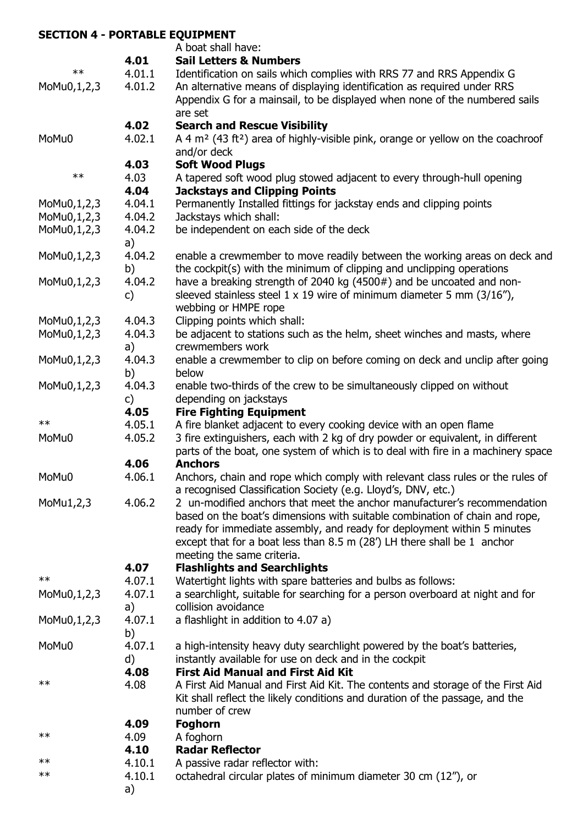# **SECTION 4 - PORTABLE EQUIPMENT**

|                           |        | A boat shall have:                                                                            |
|---------------------------|--------|-----------------------------------------------------------------------------------------------|
|                           | 4.01   | <b>Sail Letters &amp; Numbers</b>                                                             |
| $**$                      | 4.01.1 | Identification on sails which complies with RRS 77 and RRS Appendix G                         |
| MoMu0,1,2,3               | 4.01.2 | An alternative means of displaying identification as required under RRS                       |
|                           |        | Appendix G for a mainsail, to be displayed when none of the numbered sails                    |
|                           |        | are set                                                                                       |
|                           | 4.02   | <b>Search and Rescue Visibility</b>                                                           |
| MoMu0                     | 4.02.1 | A 4 $m2$ (43 ft <sup>2</sup> ) area of highly-visible pink, orange or yellow on the coachroof |
|                           |        | and/or deck                                                                                   |
|                           | 4.03   | <b>Soft Wood Plugs</b>                                                                        |
| $**$                      | 4.03   | A tapered soft wood plug stowed adjacent to every through-hull opening                        |
|                           | 4.04   | <b>Jackstays and Clipping Points</b>                                                          |
| MoMu0,1,2,3               | 4.04.1 | Permanently Installed fittings for jackstay ends and clipping points                          |
| MoMu0,1,2,3               | 4.04.2 | Jackstays which shall:                                                                        |
| MoMu0,1,2,3               | 4.04.2 | be independent on each side of the deck                                                       |
|                           | a)     |                                                                                               |
| MoMu0,1,2,3               | 4.04.2 | enable a crewmember to move readily between the working areas on deck and                     |
|                           | b)     | the cockpit(s) with the minimum of clipping and unclipping operations                         |
| MoMu0,1,2,3               | 4.04.2 | have a breaking strength of 2040 kg (4500#) and be uncoated and non-                          |
|                           |        | sleeved stainless steel $1 \times 19$ wire of minimum diameter 5 mm (3/16"),                  |
|                           | c)     |                                                                                               |
|                           |        | webbing or HMPE rope                                                                          |
| MoMu0,1,2,3               | 4.04.3 | Clipping points which shall:                                                                  |
| MoMu0,1,2,3               | 4.04.3 | be adjacent to stations such as the helm, sheet winches and masts, where                      |
|                           | a)     | crewmembers work                                                                              |
| MoMu0,1,2,3               | 4.04.3 | enable a crewmember to clip on before coming on deck and unclip after going                   |
|                           | b)     | below                                                                                         |
| MoMu0,1,2,3               | 4.04.3 | enable two-thirds of the crew to be simultaneously clipped on without                         |
|                           | c)     | depending on jackstays                                                                        |
|                           | 4.05   | <b>Fire Fighting Equipment</b>                                                                |
| $**$                      | 4.05.1 | A fire blanket adjacent to every cooking device with an open flame                            |
| MoMu0                     | 4.05.2 | 3 fire extinguishers, each with 2 kg of dry powder or equivalent, in different                |
|                           |        | parts of the boat, one system of which is to deal with fire in a machinery space              |
|                           | 4.06   | <b>Anchors</b>                                                                                |
| MoMu0                     | 4.06.1 | Anchors, chain and rope which comply with relevant class rules or the rules of                |
|                           |        | a recognised Classification Society (e.g. Lloyd's, DNV, etc.)                                 |
| MoMu <sub>1</sub> , $2,3$ | 4.06.2 | 2 un-modified anchors that meet the anchor manufacturer's recommendation                      |
|                           |        | based on the boat's dimensions with suitable combination of chain and rope,                   |
|                           |        | ready for immediate assembly, and ready for deployment within 5 minutes                       |
|                           |        | except that for a boat less than 8.5 m (28') LH there shall be 1 anchor                       |
|                           |        | meeting the same criteria.                                                                    |
|                           | 4.07   | <b>Flashlights and Searchlights</b>                                                           |
| $***$                     | 4.07.1 | Watertight lights with spare batteries and bulbs as follows:                                  |
| MoMu0,1,2,3               | 4.07.1 | a searchlight, suitable for searching for a person overboard at night and for                 |
|                           | a)     | collision avoidance                                                                           |
| MoMu0,1,2,3               | 4.07.1 | a flashlight in addition to 4.07 a)                                                           |
|                           | b)     |                                                                                               |
| MoMu0                     | 4.07.1 | a high-intensity heavy duty searchlight powered by the boat's batteries,                      |
|                           | d)     | instantly available for use on deck and in the cockpit                                        |
|                           | 4.08   | <b>First Aid Manual and First Aid Kit</b>                                                     |
| $***$                     | 4.08   | A First Aid Manual and First Aid Kit. The contents and storage of the First Aid               |
|                           |        | Kit shall reflect the likely conditions and duration of the passage, and the                  |
|                           |        |                                                                                               |
|                           |        | number of crew                                                                                |
|                           | 4.09   | <b>Foghorn</b>                                                                                |
| $***$                     | 4.09   | A foghorn                                                                                     |
|                           | 4.10   | <b>Radar Reflector</b>                                                                        |
| $***$                     | 4.10.1 | A passive radar reflector with:                                                               |
| $***$                     | 4.10.1 | octahedral circular plates of minimum diameter 30 cm (12"), or                                |
|                           | a)     |                                                                                               |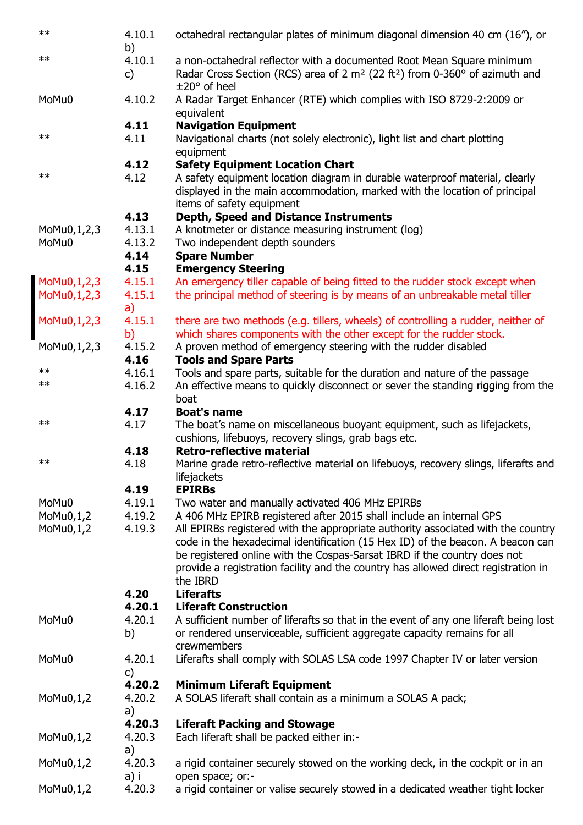| $***$                      | 4.10.1<br>b)                     | octahedral rectangular plates of minimum diagonal dimension 40 cm (16"), or                                                                                                                                                                                                                                                                      |
|----------------------------|----------------------------------|--------------------------------------------------------------------------------------------------------------------------------------------------------------------------------------------------------------------------------------------------------------------------------------------------------------------------------------------------|
| $***$                      | 4.10.1<br>c)                     | a non-octahedral reflector with a documented Root Mean Square minimum<br>Radar Cross Section (RCS) area of 2 m <sup>2</sup> (22 ft <sup>2</sup> ) from 0-360° of azimuth and<br>$\pm 20^{\circ}$ of heel                                                                                                                                         |
| MoMu0                      | 4.10.2                           | A Radar Target Enhancer (RTE) which complies with ISO 8729-2:2009 or<br>equivalent                                                                                                                                                                                                                                                               |
| $***$                      | 4.11<br>4.11                     | <b>Navigation Equipment</b><br>Navigational charts (not solely electronic), light list and chart plotting<br>equipment                                                                                                                                                                                                                           |
| $\ast\ast$                 | 4.12<br>4.12                     | <b>Safety Equipment Location Chart</b><br>A safety equipment location diagram in durable waterproof material, clearly<br>displayed in the main accommodation, marked with the location of principal<br>items of safety equipment                                                                                                                 |
| MoMu0,1,2,3<br>MoMu0       | 4.13<br>4.13.1<br>4.13.2<br>4.14 | <b>Depth, Speed and Distance Instruments</b><br>A knotmeter or distance measuring instrument (log)<br>Two independent depth sounders<br><b>Spare Number</b>                                                                                                                                                                                      |
|                            | 4.15                             | <b>Emergency Steering</b>                                                                                                                                                                                                                                                                                                                        |
| MoMu0,1,2,3<br>MoMu0,1,2,3 | 4.15.1<br>4.15.1                 | An emergency tiller capable of being fitted to the rudder stock except when<br>the principal method of steering is by means of an unbreakable metal tiller                                                                                                                                                                                       |
|                            | a)                               |                                                                                                                                                                                                                                                                                                                                                  |
| MoMu0,1,2,3                | 4.15.1<br>b)                     | there are two methods (e.g. tillers, wheels) of controlling a rudder, neither of<br>which shares components with the other except for the rudder stock.                                                                                                                                                                                          |
| MoMu0,1,2,3                | 4.15.2                           | A proven method of emergency steering with the rudder disabled                                                                                                                                                                                                                                                                                   |
| $***$                      | 4.16                             | <b>Tools and Spare Parts</b>                                                                                                                                                                                                                                                                                                                     |
| $***$                      | 4.16.1<br>4.16.2                 | Tools and spare parts, suitable for the duration and nature of the passage<br>An effective means to quickly disconnect or sever the standing rigging from the                                                                                                                                                                                    |
|                            | 4.17                             | boat<br><b>Boat's name</b>                                                                                                                                                                                                                                                                                                                       |
| $\ast\ast$                 | 4.17                             | The boat's name on miscellaneous buoyant equipment, such as lifejackets,                                                                                                                                                                                                                                                                         |
|                            |                                  | cushions, lifebuoys, recovery slings, grab bags etc.                                                                                                                                                                                                                                                                                             |
| $***$                      | 4.18                             | <b>Retro-reflective material</b>                                                                                                                                                                                                                                                                                                                 |
|                            | 4.18                             | Marine grade retro-reflective material on lifebuoys, recovery slings, liferafts and<br>lifejackets<br><b>EPIRBs</b>                                                                                                                                                                                                                              |
| MoMu0                      | 4.19<br>4.19.1                   | Two water and manually activated 406 MHz EPIRBs                                                                                                                                                                                                                                                                                                  |
| MoMu0,1,2                  | 4.19.2                           | A 406 MHz EPIRB registered after 2015 shall include an internal GPS                                                                                                                                                                                                                                                                              |
| $M_0M_0,1,2$               | 4.19.3                           | All EPIRBs registered with the appropriate authority associated with the country<br>code in the hexadecimal identification (15 Hex ID) of the beacon. A beacon can<br>be registered online with the Cospas-Sarsat IBRD if the country does not<br>provide a registration facility and the country has allowed direct registration in<br>the IBRD |
|                            | 4.20                             | <b>Liferafts</b>                                                                                                                                                                                                                                                                                                                                 |
| MoMu0                      | 4.20.1                           | <b>Liferaft Construction</b>                                                                                                                                                                                                                                                                                                                     |
|                            | 4.20.1<br>b)                     | A sufficient number of liferafts so that in the event of any one liferaft being lost<br>or rendered unserviceable, sufficient aggregate capacity remains for all<br>crewmembers                                                                                                                                                                  |
| MoMu0                      | 4.20.1<br>c)                     | Liferafts shall comply with SOLAS LSA code 1997 Chapter IV or later version                                                                                                                                                                                                                                                                      |
| $M_0M_0,1,2$               | 4.20.2<br>4.20.2<br>a)           | <b>Minimum Liferaft Equipment</b><br>A SOLAS liferaft shall contain as a minimum a SOLAS A pack;                                                                                                                                                                                                                                                 |
| $M_0M_0,1,2$               | 4.20.3<br>4.20.3                 | <b>Liferaft Packing and Stowage</b><br>Each liferaft shall be packed either in:-                                                                                                                                                                                                                                                                 |
| MoMu0,1,2                  | a)<br>4.20.3                     | a rigid container securely stowed on the working deck, in the cockpit or in an                                                                                                                                                                                                                                                                   |
| $M_0M_0,1,2$               | a) i<br>4.20.3                   | open space; or:-<br>a rigid container or valise securely stowed in a dedicated weather tight locker                                                                                                                                                                                                                                              |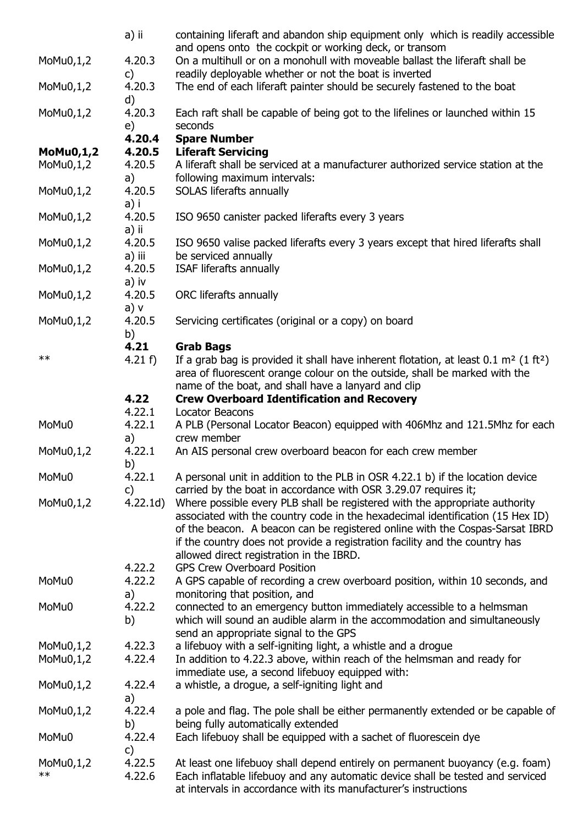|              | a) ii            | containing liferaft and abandon ship equipment only which is readily accessible                                                                |
|--------------|------------------|------------------------------------------------------------------------------------------------------------------------------------------------|
|              |                  | and opens onto the cockpit or working deck, or transom                                                                                         |
| $M_0M_0,1,2$ | 4.20.3           | On a multihull or on a monohull with moveable ballast the liferaft shall be                                                                    |
|              | c)               | readily deployable whether or not the boat is inverted                                                                                         |
| $M_0M_0,1,2$ | 4.20.3<br>d)     | The end of each liferaft painter should be securely fastened to the boat                                                                       |
| MoMu0,1,2    | 4.20.3           | Each raft shall be capable of being got to the lifelines or launched within 15                                                                 |
|              | e)               | seconds                                                                                                                                        |
|              | 4.20.4           | <b>Spare Number</b>                                                                                                                            |
| $M_0M_0,1,2$ | 4.20.5           | <b>Liferaft Servicing</b>                                                                                                                      |
| $M_0M_0,1,2$ | 4.20.5<br>a)     | A liferaft shall be serviced at a manufacturer authorized service station at the<br>following maximum intervals:                               |
| $M_0M_0,1,2$ | 4.20.5<br>a) i   | SOLAS liferafts annually                                                                                                                       |
| $M_0M_0,1,2$ | 4.20.5<br>a) ii  | ISO 9650 canister packed liferafts every 3 years                                                                                               |
| $M_0M_0,1,2$ | 4.20.5           | ISO 9650 valise packed liferafts every 3 years except that hired liferafts shall                                                               |
| $M_0M_0,1,2$ | a) iii<br>4.20.5 | be serviced annually<br>ISAF liferafts annually                                                                                                |
|              | a) iv            |                                                                                                                                                |
| $M_0M_0,1,2$ | 4.20.5<br>a) v   | ORC liferafts annually                                                                                                                         |
| MoMu0,1,2    | 4.20.5<br>b)     | Servicing certificates (original or a copy) on board                                                                                           |
|              | 4.21             | <b>Grab Bags</b>                                                                                                                               |
| $**$         | 4.21 f           | If a grab bag is provided it shall have inherent flotation, at least $0.1 \text{ m}^2 (1 \text{ ft}^2)$                                        |
|              |                  | area of fluorescent orange colour on the outside, shall be marked with the<br>name of the boat, and shall have a lanyard and clip              |
|              | 4.22             | <b>Crew Overboard Identification and Recovery</b>                                                                                              |
|              | 4.22.1           | <b>Locator Beacons</b>                                                                                                                         |
| MoMu0        | 4.22.1           | A PLB (Personal Locator Beacon) equipped with 406Mhz and 121.5Mhz for each                                                                     |
|              | a)               | crew member                                                                                                                                    |
| MoMu0,1,2    | 4.22.1           | An AIS personal crew overboard beacon for each crew member                                                                                     |
|              | b)               |                                                                                                                                                |
| MoMu0        | 4.22.1           | A personal unit in addition to the PLB in OSR 4.22.1 b) if the location device                                                                 |
|              | c)<br>4.22.1d)   | carried by the boat in accordance with OSR 3.29.07 requires it;<br>Where possible every PLB shall be registered with the appropriate authority |
| $M_0M_0,1,2$ |                  | associated with the country code in the hexadecimal identification (15 Hex ID)                                                                 |
|              |                  | of the beacon. A beacon can be registered online with the Cospas-Sarsat IBRD                                                                   |
|              |                  | if the country does not provide a registration facility and the country has                                                                    |
|              |                  | allowed direct registration in the IBRD.                                                                                                       |
|              | 4.22.2           | <b>GPS Crew Overboard Position</b>                                                                                                             |
| MoMu0        | 4.22.2           | A GPS capable of recording a crew overboard position, within 10 seconds, and                                                                   |
|              | a)               | monitoring that position, and                                                                                                                  |
| MoMu0        | 4.22.2           | connected to an emergency button immediately accessible to a helmsman                                                                          |
|              | b)               | which will sound an audible alarm in the accommodation and simultaneously                                                                      |
|              |                  | send an appropriate signal to the GPS                                                                                                          |
| $M_0M_0,1,2$ | 4.22.3           | a lifebuoy with a self-igniting light, a whistle and a drogue                                                                                  |
| $M_0M_0,1,2$ | 4.22.4           | In addition to 4.22.3 above, within reach of the helmsman and ready for                                                                        |
|              |                  | immediate use, a second lifebuoy equipped with:                                                                                                |
| $M_0M_0,1,2$ | 4.22.4<br>a)     | a whistle, a drogue, a self-igniting light and                                                                                                 |
| $M_0M_0,1,2$ | 4.22.4           | a pole and flag. The pole shall be either permanently extended or be capable of                                                                |
|              | b)               | being fully automatically extended                                                                                                             |
| MoMu0        | 4.22.4           | Each lifebuoy shall be equipped with a sachet of fluorescein dye                                                                               |
|              | $\mathsf{c}$     |                                                                                                                                                |
| $M_0M_0,1,2$ | 4.22.5           | At least one lifebuoy shall depend entirely on permanent buoyancy (e.g. foam)                                                                  |
| $\ast\ast$   | 4.22.6           | Each inflatable lifebuoy and any automatic device shall be tested and serviced                                                                 |
|              |                  | at intervals in accordance with its manufacturer's instructions                                                                                |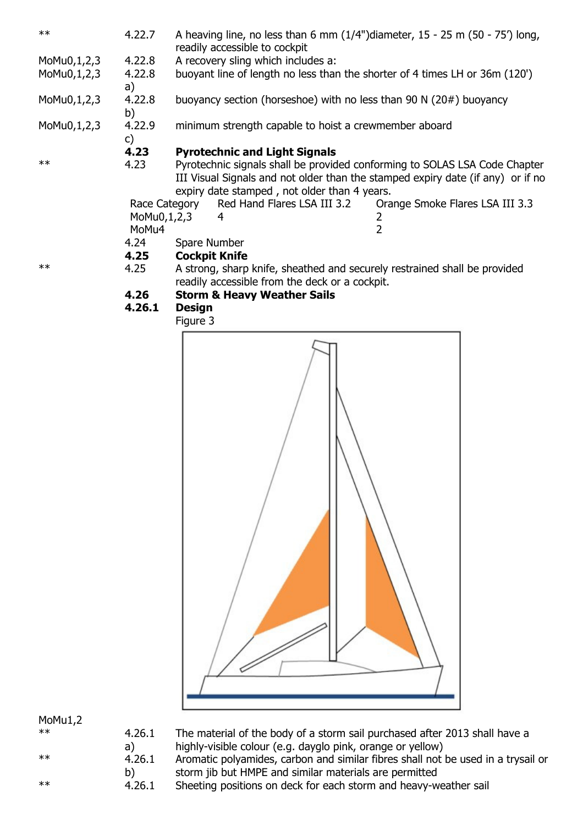| $**$        | 4.22.7                 |                      | readily accessible to cockpit                                                                                               | A heaving line, no less than 6 mm $(1/4")$ diameter, 15 - 25 m $(50 - 75')$ long,                                                                             |
|-------------|------------------------|----------------------|-----------------------------------------------------------------------------------------------------------------------------|---------------------------------------------------------------------------------------------------------------------------------------------------------------|
| MoMu0,1,2,3 | 4.22.8                 |                      | A recovery sling which includes a:                                                                                          |                                                                                                                                                               |
| MoMu0,1,2,3 | 4.22.8<br>a)           |                      |                                                                                                                             | buoyant line of length no less than the shorter of 4 times LH or 36m (120')                                                                                   |
| MoMu0,1,2,3 | 4.22.8<br>b)           |                      | buoyancy section (horseshoe) with no less than 90 N $(20#)$ buoyancy                                                        |                                                                                                                                                               |
| MoMu0,1,2,3 | 4.22.9<br>$\mathsf{C}$ |                      | minimum strength capable to hoist a crewmember aboard                                                                       |                                                                                                                                                               |
|             | 4.23                   |                      | <b>Pyrotechnic and Light Signals</b>                                                                                        |                                                                                                                                                               |
| $**$        | 4.23                   |                      | expiry date stamped, not older than 4 years.                                                                                | Pyrotechnic signals shall be provided conforming to SOLAS LSA Code Chapter<br>III Visual Signals and not older than the stamped expiry date (if any) or if no |
|             |                        | Race Category        | Red Hand Flares LSA III 3.2                                                                                                 | Orange Smoke Flares LSA III 3.3                                                                                                                               |
|             | MoMu0,1,2,3            |                      | 4                                                                                                                           | 2                                                                                                                                                             |
|             | MoMu4                  |                      |                                                                                                                             | $\overline{2}$                                                                                                                                                |
|             | 4.24                   | Spare Number         |                                                                                                                             |                                                                                                                                                               |
|             | 4.25                   | <b>Cockpit Knife</b> |                                                                                                                             |                                                                                                                                                               |
| $**$        | 4.25                   |                      | A strong, sharp knife, sheathed and securely restrained shall be provided<br>readily accessible from the deck or a cockpit. |                                                                                                                                                               |
|             | 4.26                   |                      | <b>Storm &amp; Heavy Weather Sails</b>                                                                                      |                                                                                                                                                               |
|             | 4.26.1                 | <b>Design</b>        |                                                                                                                             |                                                                                                                                                               |
|             |                        | Figure 3             |                                                                                                                             |                                                                                                                                                               |
|             |                        |                      | $\sim$                                                                                                                      |                                                                                                                                                               |



MoMu1,2

| $**$ | 4.2( |
|------|------|
|      | a)   |
| $**$ | 4.2( |
|      | b)   |
| $**$ | 4.20 |

 $6.1$ The material of the body of a storm sail purchased after 2013 shall have a highly-visible colour (e.g. dayglo pink, orange or yellow)

 $6.1$ Aromatic polyamides, carbon and similar fibres shall not be used in a trysail or storm jib but HMPE and similar materials are permitted

 $6.1$  Sheeting positions on deck for each storm and heavy-weather sail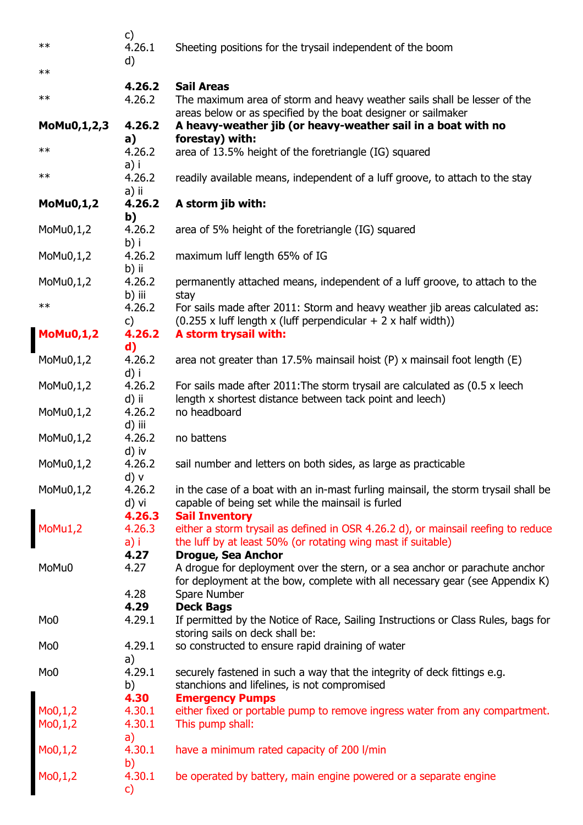| $***$                         | c)<br>4.26.1<br>d)       | Sheeting positions for the trysail independent of the boom                                                                                                                               |
|-------------------------------|--------------------------|------------------------------------------------------------------------------------------------------------------------------------------------------------------------------------------|
| $**$                          |                          |                                                                                                                                                                                          |
| $\ast\ast$                    | 4.26.2<br>4.26.2         | <b>Sail Areas</b><br>The maximum area of storm and heavy weather sails shall be lesser of the                                                                                            |
| MoMu0,1,2,3                   | 4.26.2<br>a)             | areas below or as specified by the boat designer or sailmaker<br>A heavy-weather jib (or heavy-weather sail in a boat with no<br>forestay) with:                                         |
| $**$                          | 4.26.2<br>a) i           | area of 13.5% height of the foretriangle (IG) squared                                                                                                                                    |
| $***$                         | 4.26.2<br>a) ii          | readily available means, independent of a luff groove, to attach to the stay                                                                                                             |
| <b>MoMu0,1,2</b>              | 4.26.2<br>b)             | A storm jib with:                                                                                                                                                                        |
| MoMu0,1,2                     | 4.26.2<br>b) i           | area of 5% height of the foretriangle (IG) squared                                                                                                                                       |
| $M_0M_0,1,2$                  | 4.26.2<br>b) ii          | maximum luff length 65% of IG                                                                                                                                                            |
| MoMu0,1,2                     | 4.26.2<br>b) iii         | permanently attached means, independent of a luff groove, to attach to the<br>stay                                                                                                       |
| $***$                         | 4.26.2<br>c)             | For sails made after 2011: Storm and heavy weather jib areas calculated as:<br>$(0.255 \times$ luff length x (luff perpendicular + 2 x half width))                                      |
| $M_0M_0,1,2$                  | 4.26.2<br>d)             | A storm trysail with:                                                                                                                                                                    |
| MoMu0,1,2                     | 4.26.2<br>d) i           | area not greater than 17.5% mainsail hoist $(P)$ x mainsail foot length $(E)$                                                                                                            |
| MoMu0,1,2                     | 4.26.2<br>d) ii          | For sails made after 2011: The storm trysail are calculated as (0.5 x leech<br>length x shortest distance between tack point and leech)                                                  |
| MoMu0,1,2                     | 4.26.2<br>d) iii         | no headboard                                                                                                                                                                             |
| $M_0M_0,1,2$                  | 4.26.2<br>d) iv          | no battens                                                                                                                                                                               |
| MoMu0,1,2                     | 4.26.2<br>d) v           | sail number and letters on both sides, as large as practicable                                                                                                                           |
| MoMu0,1,2                     | 4.26.2<br>d) vi          | in the case of a boat with an in-mast furling mainsail, the storm trysail shall be<br>capable of being set while the mainsail is furled                                                  |
| MoMu1,2                       | 4.26.3<br>4.26.3<br>a) i | <b>Sail Inventory</b><br>either a storm trysail as defined in OSR 4.26.2 d), or mainsail reefing to reduce<br>the luff by at least 50% (or rotating wing mast if suitable)               |
| MoMu0                         | 4.27<br>4.27             | <b>Drogue, Sea Anchor</b><br>A drogue for deployment over the stern, or a sea anchor or parachute anchor<br>for deployment at the bow, complete with all necessary gear (see Appendix K) |
|                               | 4.28<br>4.29             | Spare Number<br><b>Deck Bags</b>                                                                                                                                                         |
| Mo <sub>0</sub>               | 4.29.1                   | If permitted by the Notice of Race, Sailing Instructions or Class Rules, bags for<br>storing sails on deck shall be:                                                                     |
| Mo <sub>0</sub>               | 4.29.1<br>a)             | so constructed to ensure rapid draining of water                                                                                                                                         |
| Mo <sub>0</sub>               | 4.29.1<br>b)             | securely fastened in such a way that the integrity of deck fittings e.g.<br>stanchions and lifelines, is not compromised                                                                 |
|                               | 4.30<br>4.30.1           | <b>Emergency Pumps</b><br>either fixed or portable pump to remove ingress water from any compartment.                                                                                    |
|                               | 4.30.1<br>a)             | This pump shall:                                                                                                                                                                         |
| Mo0,1,2<br>Mo0,1,2<br>Mo0,1,2 | 4.30.1<br>b)             | have a minimum rated capacity of 200 l/min                                                                                                                                               |
| Mo0,1,2                       | 4.30.1<br>$\mathsf{C}$   | be operated by battery, main engine powered or a separate engine                                                                                                                         |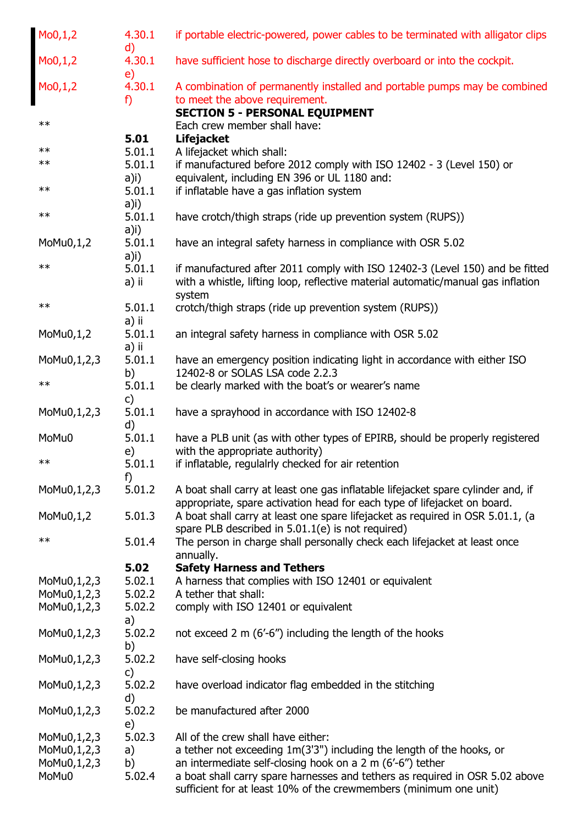| M <sub>0</sub> , 1, 2 | 4.30.1<br>$\mathsf{d}$ | if portable electric-powered, power cables to be terminated with alligator clips                            |
|-----------------------|------------------------|-------------------------------------------------------------------------------------------------------------|
| Mo0,1,2               | 4.30.1<br>e)           | have sufficient hose to discharge directly overboard or into the cockpit.                                   |
| Mo0,1,2               | 4.30.1<br>f)           | A combination of permanently installed and portable pumps may be combined<br>to meet the above requirement. |
|                       |                        | <b>SECTION 5 - PERSONAL EQUIPMENT</b>                                                                       |
| $**$                  |                        | Each crew member shall have:                                                                                |
|                       | 5.01                   | <b>Lifejacket</b>                                                                                           |
| $***$                 | 5.01.1                 | A lifejacket which shall:                                                                                   |
| $\ast\ast$            | 5.01.1                 | if manufactured before 2012 comply with ISO 12402 - 3 (Level 150) or                                        |
|                       | $a)$ i)                | equivalent, including EN 396 or UL 1180 and:                                                                |
| $\ast\ast$            | 5.01.1                 | if inflatable have a gas inflation system                                                                   |
|                       | a)i)                   |                                                                                                             |
| $**$                  | 5.01.1                 | have crotch/thigh straps (ride up prevention system (RUPS))                                                 |
|                       | a)i)                   |                                                                                                             |
| $M_0M_0,1,2$          | 5.01.1                 | have an integral safety harness in compliance with OSR 5.02                                                 |
| $**$                  | $a)$ i)                |                                                                                                             |
|                       | 5.01.1                 | if manufactured after 2011 comply with ISO 12402-3 (Level 150) and be fitted                                |
|                       | a) ii                  | with a whistle, lifting loop, reflective material automatic/manual gas inflation                            |
| $**$                  | 5.01.1                 | system<br>crotch/thigh straps (ride up prevention system (RUPS))                                            |
|                       | a) ii                  |                                                                                                             |
| $M_0M_0,1,2$          | 5.01.1                 | an integral safety harness in compliance with OSR 5.02                                                      |
|                       | a) ii                  |                                                                                                             |
| MoMu0,1,2,3           | 5.01.1                 | have an emergency position indicating light in accordance with either ISO                                   |
|                       | b)                     | 12402-8 or SOLAS LSA code 2.2.3                                                                             |
| $***$                 | 5.01.1                 | be clearly marked with the boat's or wearer's name                                                          |
|                       | $\mathsf{C}$           |                                                                                                             |
| MoMu0,1,2,3           | 5.01.1<br>$\mathsf{d}$ | have a sprayhood in accordance with ISO 12402-8                                                             |
| MoMu0                 | 5.01.1                 | have a PLB unit (as with other types of EPIRB, should be properly registered                                |
|                       | e)                     | with the appropriate authority)                                                                             |
| $***$                 | 5.01.1                 | if inflatable, regulalrly checked for air retention                                                         |
| MoMu0,1,2,3           | f)<br>5.01.2           | A boat shall carry at least one gas inflatable lifejacket spare cylinder and, if                            |
|                       |                        | appropriate, spare activation head for each type of lifejacket on board.                                    |
| MoMu0,1,2             | 5.01.3                 | A boat shall carry at least one spare lifejacket as required in OSR 5.01.1, (a                              |
|                       |                        | spare PLB described in 5.01.1(e) is not required)                                                           |
| $\ast\ast$            | 5.01.4                 | The person in charge shall personally check each lifejacket at least once                                   |
|                       |                        | annually.                                                                                                   |
|                       | 5.02                   | <b>Safety Harness and Tethers</b>                                                                           |
| MoMu0,1,2,3           | 5.02.1                 | A harness that complies with ISO 12401 or equivalent                                                        |
| MoMu0,1,2,3           | 5.02.2                 | A tether that shall:                                                                                        |
| MoMu0,1,2,3           | 5.02.2                 | comply with ISO 12401 or equivalent                                                                         |
|                       | a)                     |                                                                                                             |
| MoMu0,1,2,3           | 5.02.2                 | not exceed 2 m (6'-6") including the length of the hooks                                                    |
|                       | b)                     |                                                                                                             |
| MoMu0,1,2,3           | 5.02.2                 | have self-closing hooks                                                                                     |
|                       | $\mathsf{c}$           |                                                                                                             |
| MoMu0,1,2,3           | 5.02.2                 | have overload indicator flag embedded in the stitching                                                      |
| MoMu0,1,2,3           | d)<br>5.02.2           | be manufactured after 2000                                                                                  |
|                       |                        |                                                                                                             |
| MoMu0,1,2,3           | e)<br>5.02.3           | All of the crew shall have either:                                                                          |
| MoMu0,1,2,3           | a)                     | a tether not exceeding 1m(3'3") including the length of the hooks, or                                       |
| MoMu0,1,2,3           | b)                     | an intermediate self-closing hook on a $2 \text{ m}$ (6'-6") tether                                         |
| MoMu0                 | 5.02.4                 | a boat shall carry spare harnesses and tethers as required in OSR 5.02 above                                |
|                       |                        | sufficient for at least 10% of the crewmembers (minimum one unit)                                           |
|                       |                        |                                                                                                             |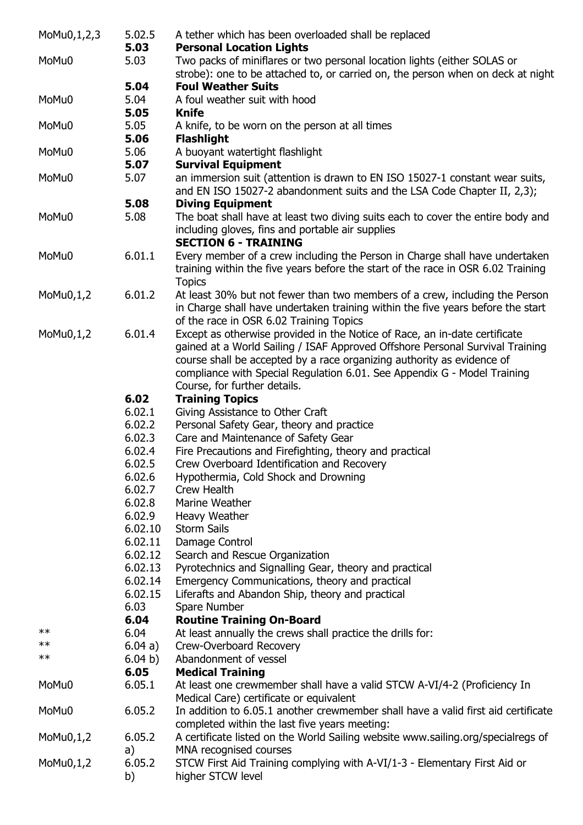| MoMu0,1,2,3  | 5.02.5<br>5.03 | A tether which has been overloaded shall be replaced<br><b>Personal Location Lights</b>                                                                                                                   |
|--------------|----------------|-----------------------------------------------------------------------------------------------------------------------------------------------------------------------------------------------------------|
| MoMu0        | 5.03           | Two packs of miniflares or two personal location lights (either SOLAS or<br>strobe): one to be attached to, or carried on, the person when on deck at night                                               |
|              | 5.04           | <b>Foul Weather Suits</b>                                                                                                                                                                                 |
| MoMu0        | 5.04           | A foul weather suit with hood                                                                                                                                                                             |
|              | 5.05           | <b>Knife</b>                                                                                                                                                                                              |
| MoMu0        | 5.05           | A knife, to be worn on the person at all times                                                                                                                                                            |
|              | 5.06           | <b>Flashlight</b>                                                                                                                                                                                         |
| MoMu0        | 5.06           | A buoyant watertight flashlight                                                                                                                                                                           |
|              | 5.07           | <b>Survival Equipment</b>                                                                                                                                                                                 |
| MoMu0        | 5.07           | an immersion suit (attention is drawn to EN ISO 15027-1 constant wear suits,<br>and EN ISO 15027-2 abandonment suits and the LSA Code Chapter II, 2,3);                                                   |
|              | 5.08           | <b>Diving Equipment</b>                                                                                                                                                                                   |
| MoMu0        | 5.08           | The boat shall have at least two diving suits each to cover the entire body and                                                                                                                           |
|              |                | including gloves, fins and portable air supplies                                                                                                                                                          |
|              |                | <b>SECTION 6 - TRAINING</b>                                                                                                                                                                               |
| MoMu0        | 6.01.1         | Every member of a crew including the Person in Charge shall have undertaken<br>training within the five years before the start of the race in OSR 6.02 Training                                           |
|              | 6.01.2         | <b>Topics</b>                                                                                                                                                                                             |
| MoMu0,1,2    |                | At least 30% but not fewer than two members of a crew, including the Person<br>in Charge shall have undertaken training within the five years before the start<br>of the race in OSR 6.02 Training Topics |
| MoMu0,1,2    | 6.01.4         | Except as otherwise provided in the Notice of Race, an in-date certificate                                                                                                                                |
|              |                | gained at a World Sailing / ISAF Approved Offshore Personal Survival Training                                                                                                                             |
|              |                | course shall be accepted by a race organizing authority as evidence of                                                                                                                                    |
|              |                | compliance with Special Regulation 6.01. See Appendix G - Model Training                                                                                                                                  |
|              |                | Course, for further details.                                                                                                                                                                              |
|              | 6.02           | <b>Training Topics</b>                                                                                                                                                                                    |
|              | 6.02.1         | Giving Assistance to Other Craft                                                                                                                                                                          |
|              | 6.02.2         | Personal Safety Gear, theory and practice                                                                                                                                                                 |
|              | 6.02.3         | Care and Maintenance of Safety Gear                                                                                                                                                                       |
|              | 6.02.4         | Fire Precautions and Firefighting, theory and practical                                                                                                                                                   |
|              | 6.02.5         | Crew Overboard Identification and Recovery                                                                                                                                                                |
|              | 6.02.6         | Hypothermia, Cold Shock and Drowning                                                                                                                                                                      |
|              | 6.02.7         | Crew Health                                                                                                                                                                                               |
|              | 6.02.8         | Marine Weather                                                                                                                                                                                            |
|              | 6.02.9         | Heavy Weather                                                                                                                                                                                             |
|              | 6.02.10        | <b>Storm Sails</b>                                                                                                                                                                                        |
|              | 6.02.11        | Damage Control                                                                                                                                                                                            |
|              | 6.02.12        | Search and Rescue Organization                                                                                                                                                                            |
|              | 6.02.13        | Pyrotechnics and Signalling Gear, theory and practical                                                                                                                                                    |
|              | 6.02.14        | Emergency Communications, theory and practical                                                                                                                                                            |
|              | 6.02.15        | Liferafts and Abandon Ship, theory and practical                                                                                                                                                          |
|              | 6.03           | Spare Number                                                                                                                                                                                              |
|              | 6.04           | <b>Routine Training On-Board</b>                                                                                                                                                                          |
| **           | 6.04           | At least annually the crews shall practice the drills for:                                                                                                                                                |
| $\ast\ast$   | 6.04 a)        | Crew-Overboard Recovery                                                                                                                                                                                   |
| $\ast\ast$   | 6.04 b)        | Abandonment of vessel                                                                                                                                                                                     |
|              | 6.05           | <b>Medical Training</b>                                                                                                                                                                                   |
| MoMu0        | 6.05.1         | At least one crewmember shall have a valid STCW A-VI/4-2 (Proficiency In<br>Medical Care) certificate or equivalent                                                                                       |
| MoMu0        | 6.05.2         | In addition to 6.05.1 another crewmember shall have a valid first aid certificate<br>completed within the last five years meeting:                                                                        |
| $M_0M_0,1,2$ | 6.05.2<br>a)   | A certificate listed on the World Sailing website www.sailing.org/specialregs of<br>MNA recognised courses                                                                                                |
| $M_0M_0,1,2$ | 6.05.2         | STCW First Aid Training complying with A-VI/1-3 - Elementary First Aid or                                                                                                                                 |
|              | b)             | higher STCW level                                                                                                                                                                                         |